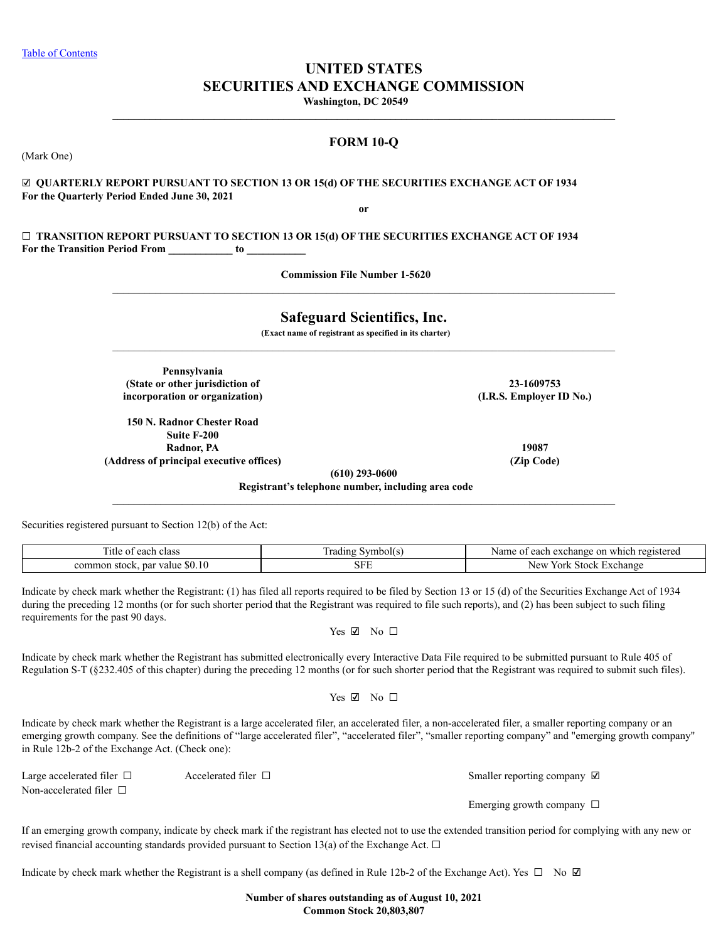# **UNITED STATES SECURITIES AND EXCHANGE COMMISSION**

**Washington, DC 20549**  $\mathcal{L}_\mathcal{L} = \mathcal{L}_\mathcal{L}$ 

# **FORM 10-Q**

(Mark One)

# ☑ **QUARTERLY REPORT PURSUANT TO SECTION 13 OR 15(d) OF THE SECURITIES EXCHANGE ACT OF 1934 For the Quarterly Period Ended June 30, 2021**

**or**

☐ **TRANSITION REPORT PURSUANT TO SECTION 13 OR 15(d) OF THE SECURITIES EXCHANGE ACT OF 1934 For the Transition Period From \_\_\_\_\_\_\_\_\_\_\_\_ to \_\_\_\_\_\_\_\_\_\_\_**

**Commission File Number 1-5620**

# **Safeguard Scientifics, Inc.**

 $\mathcal{L}_\mathcal{L} = \mathcal{L}_\mathcal{L}$ 

**(Exact name of registrant as specified in its charter)**

**Pennsylvania (State or other jurisdiction of 23-1609753 incorporation or organization) (I.R.S. Employer ID No.)**

**150 N. Radnor Chester Road Suite F-200 Radnor, PA 19087 (Address of principal executive offices) (Zip Code)**

**(610) 293-0600**

**Registrant's telephone number, including area code**  $\mathcal{L}_\mathcal{L} = \mathcal{L}_\mathcal{L}$ 

Securities registered pursuant to Section 12(b) of the Act:

| --<br>class<br>aaar<br>Сасн                   | Symbol(s)<br>.radıng | which registered<br>-on<br>each<br>. exchange<br>ച<br>vame |  |  |  |  |  |
|-----------------------------------------------|----------------------|------------------------------------------------------------|--|--|--|--|--|
| $\sim$<br>common stock.<br>par value<br>30.19 | $\alpha$ me<br>SFE   | York<br>Exchange<br>New<br><b>Stock</b>                    |  |  |  |  |  |

Indicate by check mark whether the Registrant: (1) has filed all reports required to be filed by Section 13 or 15 (d) of the Securities Exchange Act of 1934 during the preceding 12 months (or for such shorter period that the Registrant was required to file such reports), and (2) has been subject to such filing requirements for the past 90 days.

Yes **⊽** No □

Indicate by check mark whether the Registrant has submitted electronically every Interactive Data File required to be submitted pursuant to Rule 405 of Regulation S-T (§232.405 of this chapter) during the preceding 12 months (or for such shorter period that the Registrant was required to submit such files).

| Yes ☑ No □ |  |
|------------|--|
|------------|--|

Indicate by check mark whether the Registrant is a large accelerated filer, an accelerated filer, a non-accelerated filer, a smaller reporting company or an emerging growth company. See the definitions of "large accelerated filer", "accelerated filer", "smaller reporting company" and "emerging growth company" in Rule 12b-2 of the Exchange Act. (Check one):

| Large accelerated filer $\Box$ | Accelerated filer $\Box$ | Smaller reporting company $\boxtimes$ |
|--------------------------------|--------------------------|---------------------------------------|
| Non-accelerated filer $\Box$   |                          |                                       |
|                                |                          | Emerging growth company $\Box$        |

If an emerging growth company, indicate by check mark if the registrant has elected not to use the extended transition period for complying with any new or revised financial accounting standards provided pursuant to Section 13(a) of the Exchange Act.  $\Box$ 

Indicate by check mark whether the Registrant is a shell company (as defined in Rule 12b-2 of the Exchange Act). Yes  $\Box$  No  $\Box$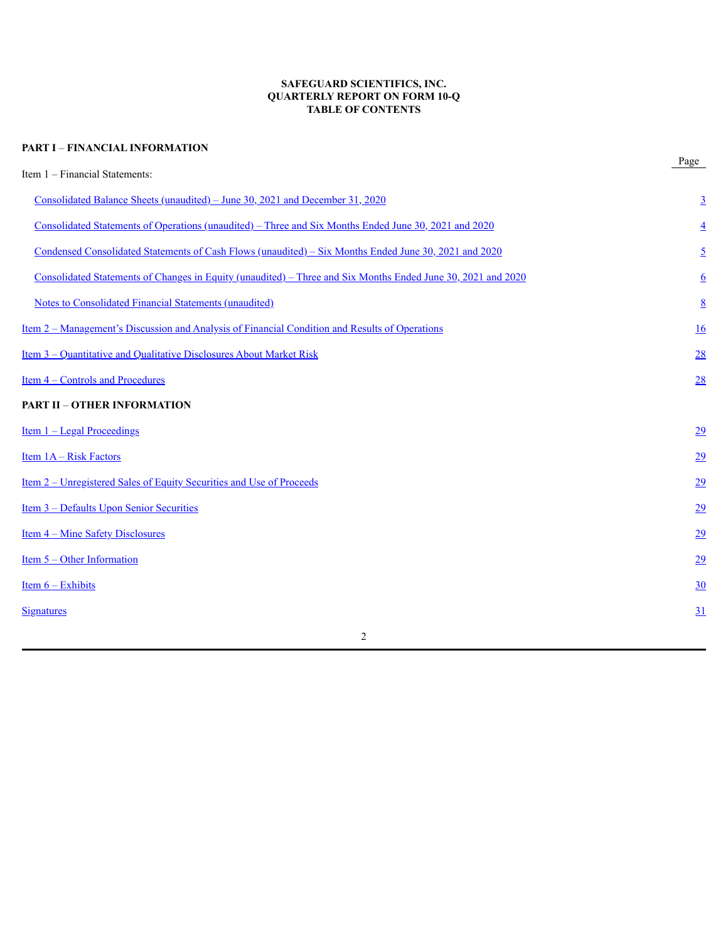### <span id="page-2-0"></span>**SAFEGUARD SCIENTIFICS, INC. QUARTERLY REPORT ON FORM 10-Q TABLE OF CONTENTS**

| <b>PART I - FINANCIAL INFORMATION</b>                                                                        |                 |
|--------------------------------------------------------------------------------------------------------------|-----------------|
| Item 1 - Financial Statements:                                                                               | Page            |
| Consolidated Balance Sheets (unaudited) – June 30, 2021 and December 31, 2020                                | $\overline{3}$  |
| Consolidated Statements of Operations (unaudited) – Three and Six Months Ended June 30, 2021 and 2020        | $\overline{4}$  |
| Condensed Consolidated Statements of Cash Flows (unaudited) – Six Months Ended June 30, 2021 and 2020        | $\overline{2}$  |
| Consolidated Statements of Changes in Equity (unaudited) – Three and Six Months Ended June 30, 2021 and 2020 | $6\overline{6}$ |
| <b>Notes to Consolidated Financial Statements (unaudited)</b>                                                | 8               |
| Item 2 – Management's Discussion and Analysis of Financial Condition and Results of Operations               | <u>16</u>       |
| <u>Item 3 – Quantitative and Qualitative Disclosures About Market Risk</u>                                   | 28              |
| <u>Item 4 – Controls and Procedures</u>                                                                      | 28              |
| <b>PART II - OTHER INFORMATION</b>                                                                           |                 |
| <u>Item <math>1 -</math> Legal Proceedings</u>                                                               | 29              |
| Item 1A - Risk Factors                                                                                       | 29              |
| <u>Item 2 – Unregistered Sales of Equity Securities and Use of Proceeds</u>                                  | 29              |
| Item 3 – Defaults Upon Senior Securities                                                                     | 29              |
| <u>Item 4 – Mine Safety Disclosures</u>                                                                      | 29              |
| Item $5 -$ Other Information                                                                                 | 29              |
| Item $6 -$ Exhibits                                                                                          | $\frac{30}{2}$  |
| <b>Signatures</b>                                                                                            | 31              |
| 2                                                                                                            |                 |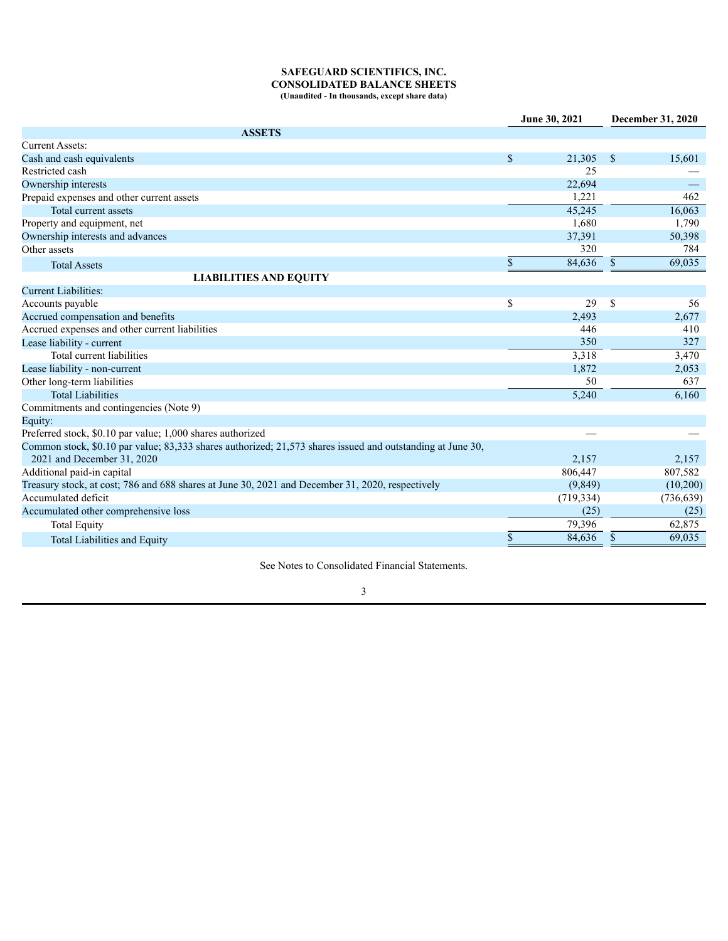### <span id="page-3-0"></span>**SAFEGUARD SCIENTIFICS, INC. CONSOLIDATED BALANCE SHEETS (Unaudited - In thousands, except share data)**

|                                                                                                            | June 30, 2021 |            |               |            |  |  |
|------------------------------------------------------------------------------------------------------------|---------------|------------|---------------|------------|--|--|
| <b>ASSETS</b>                                                                                              |               |            |               |            |  |  |
| <b>Current Assets:</b>                                                                                     |               |            |               |            |  |  |
| Cash and cash equivalents                                                                                  | $\mathbf S$   | 21,305     | <sup>\$</sup> | 15,601     |  |  |
| Restricted cash                                                                                            |               | 25         |               |            |  |  |
| Ownership interests                                                                                        |               | 22,694     |               |            |  |  |
| Prepaid expenses and other current assets                                                                  |               | 1,221      |               | 462        |  |  |
| Total current assets                                                                                       |               | 45,245     |               | 16,063     |  |  |
| Property and equipment, net                                                                                |               | 1,680      |               | 1,790      |  |  |
| Ownership interests and advances                                                                           |               | 37,391     |               | 50,398     |  |  |
| Other assets                                                                                               |               | 320        |               | 784        |  |  |
| <b>Total Assets</b>                                                                                        | \$            | 84,636     | $\mathbf{s}$  | 69,035     |  |  |
| <b>LIABILITIES AND EQUITY</b>                                                                              |               |            |               |            |  |  |
| <b>Current Liabilities:</b>                                                                                |               |            |               |            |  |  |
| Accounts payable                                                                                           | \$            | 29         | \$            | 56         |  |  |
| Accrued compensation and benefits                                                                          |               | 2,493      |               | 2,677      |  |  |
| Accrued expenses and other current liabilities                                                             |               | 446        |               | 410        |  |  |
| Lease liability - current                                                                                  |               | 350        |               | 327        |  |  |
| Total current liabilities                                                                                  |               | 3,318      |               | 3,470      |  |  |
| Lease liability - non-current                                                                              |               | 1,872      |               | 2,053      |  |  |
| Other long-term liabilities                                                                                |               | 50         |               | 637        |  |  |
| <b>Total Liabilities</b>                                                                                   |               | 5,240      |               | 6,160      |  |  |
| Commitments and contingencies (Note 9)                                                                     |               |            |               |            |  |  |
| Equity:                                                                                                    |               |            |               |            |  |  |
| Preferred stock, \$0.10 par value; 1,000 shares authorized                                                 |               |            |               |            |  |  |
| Common stock, \$0.10 par value; 83,333 shares authorized; 21,573 shares issued and outstanding at June 30, |               |            |               |            |  |  |
| 2021 and December 31, 2020                                                                                 |               | 2,157      |               | 2,157      |  |  |
| Additional paid-in capital                                                                                 |               | 806,447    |               | 807,582    |  |  |
| Treasury stock, at cost; 786 and 688 shares at June 30, 2021 and December 31, 2020, respectively           |               | (9,849)    |               | (10,200)   |  |  |
| Accumulated deficit                                                                                        |               | (719, 334) |               | (736, 639) |  |  |
| Accumulated other comprehensive loss                                                                       |               | (25)       |               | (25)       |  |  |
| <b>Total Equity</b>                                                                                        |               | 79,396     |               | 62,875     |  |  |
| <b>Total Liabilities and Equity</b>                                                                        | \$            | 84,636     | S             | 69,035     |  |  |
|                                                                                                            |               |            |               |            |  |  |

See Notes to Consolidated Financial Statements.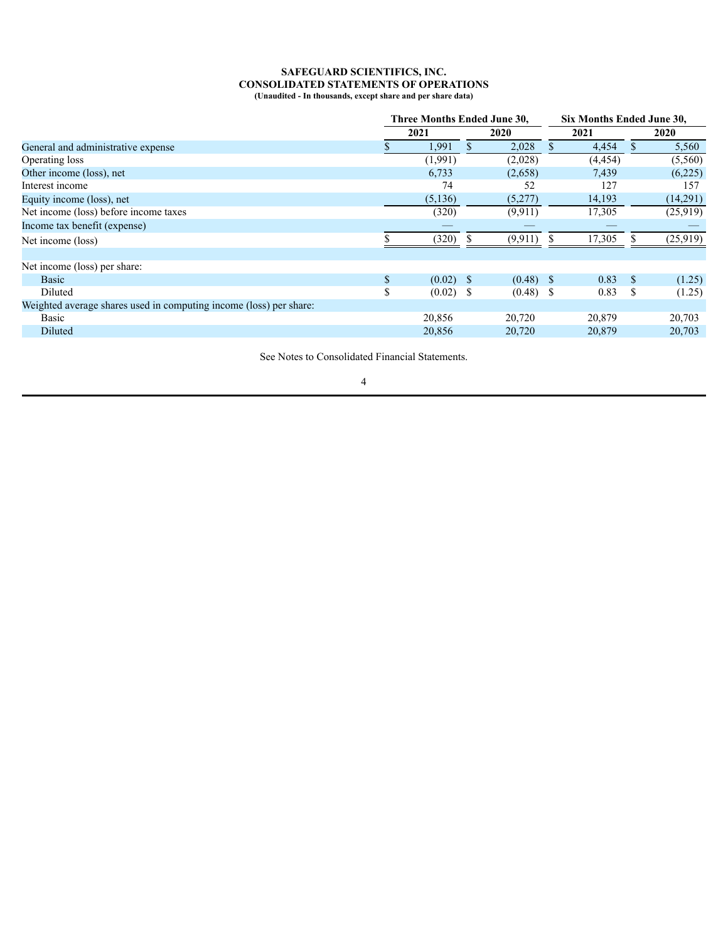#### <span id="page-4-0"></span>**SAFEGUARD SCIENTIFICS, INC. CONSOLIDATED STATEMENTS OF OPERATIONS (Unaudited - In thousands, except share and per share data)**

|                                                                    | Three Months Ended June 30, |    |             | Six Months Ended June 30, |          |    |             |
|--------------------------------------------------------------------|-----------------------------|----|-------------|---------------------------|----------|----|-------------|
|                                                                    | 2021                        |    | <b>2020</b> |                           | 2021     |    | <b>2020</b> |
| General and administrative expense                                 | 1,991                       | \$ | 2,028       | S                         | 4,454    |    | 5,560       |
| Operating loss                                                     | (1,991)                     |    | (2,028)     |                           | (4, 454) |    | (5,560)     |
| Other income (loss), net                                           | 6,733                       |    | (2,658)     |                           | 7,439    |    | (6,225)     |
| Interest income                                                    | 74                          |    | 52          |                           | 127      |    | 157         |
| Equity income (loss), net                                          | (5,136)                     |    | (5,277)     |                           | 14,193   |    | (14,291)    |
| Net income (loss) before income taxes                              | (320)                       |    | (9,911)     |                           | 17,305   |    | (25,919)    |
| Income tax benefit (expense)                                       |                             |    |             |                           |          |    |             |
| Net income (loss)                                                  | (320)                       | S. | (9,911)     | S                         | 17,305   |    | (25, 919)   |
|                                                                    |                             |    |             |                           |          |    |             |
| Net income (loss) per share:                                       |                             |    |             |                           |          |    |             |
| <b>Basic</b>                                                       | \$<br>$(0.02)$ \$           |    | $(0.48)$ \$ |                           | 0.83     | S. | (1.25)      |
| Diluted                                                            | \$<br>(0.02)                | -S | $(0.48)$ \$ |                           | 0.83     |    | (1.25)      |
| Weighted average shares used in computing income (loss) per share: |                             |    |             |                           |          |    |             |
| <b>Basic</b>                                                       | 20,856                      |    | 20,720      |                           | 20,879   |    | 20,703      |
| Diluted                                                            | 20,856                      |    | 20,720      |                           | 20,879   |    | 20,703      |

See Notes to Consolidated Financial Statements.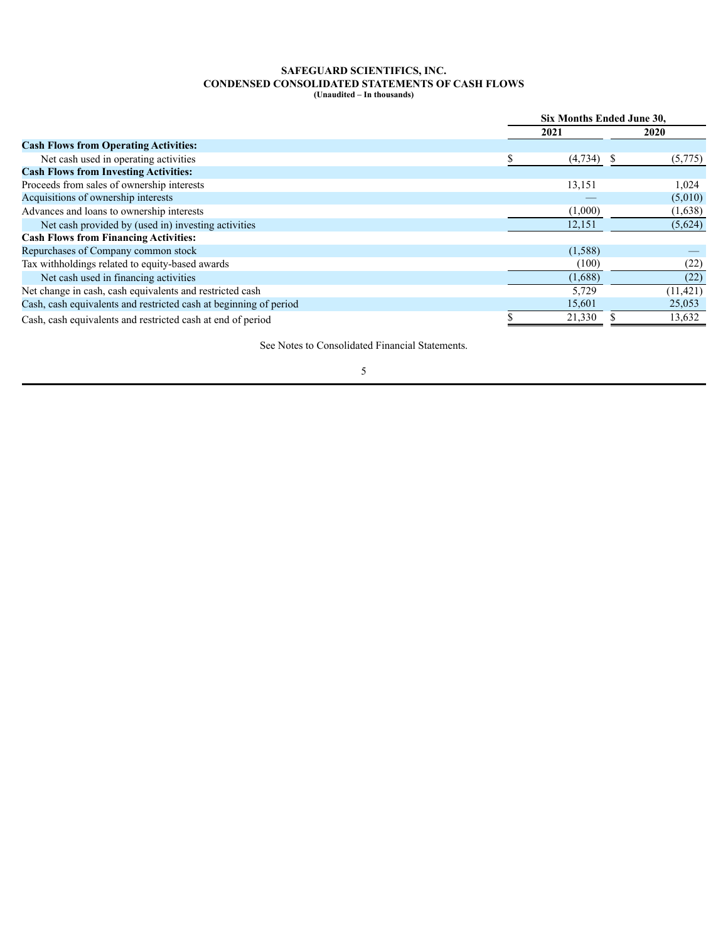#### <span id="page-5-0"></span>**SAFEGUARD SCIENTIFICS, INC. CONDENSED CONSOLIDATED STATEMENTS OF CASH FLOWS (Unaudited – In thousands)**

|                                                                   | Six Months Ended June 30, |  |             |  |  |
|-------------------------------------------------------------------|---------------------------|--|-------------|--|--|
|                                                                   | 2021                      |  | <b>2020</b> |  |  |
| <b>Cash Flows from Operating Activities:</b>                      |                           |  |             |  |  |
| Net cash used in operating activities                             | $(4,734)$ \$              |  | (5,775)     |  |  |
| <b>Cash Flows from Investing Activities:</b>                      |                           |  |             |  |  |
| Proceeds from sales of ownership interests                        | 13,151                    |  | 1,024       |  |  |
| Acquisitions of ownership interests                               |                           |  | (5,010)     |  |  |
| Advances and loans to ownership interests                         | (1,000)                   |  | (1,638)     |  |  |
| Net cash provided by (used in) investing activities               | 12,151                    |  | (5,624)     |  |  |
| <b>Cash Flows from Financing Activities:</b>                      |                           |  |             |  |  |
| Repurchases of Company common stock                               | (1,588)                   |  |             |  |  |
| Tax withholdings related to equity-based awards                   | (100)                     |  | (22)        |  |  |
| Net cash used in financing activities                             | (1,688)                   |  | (22)        |  |  |
| Net change in cash, cash equivalents and restricted cash          | 5,729                     |  | (11, 421)   |  |  |
| Cash, cash equivalents and restricted cash at beginning of period | 15,601                    |  | 25,053      |  |  |
| Cash, cash equivalents and restricted cash at end of period       | 21,330                    |  | 13,632      |  |  |
|                                                                   |                           |  |             |  |  |

See Notes to Consolidated Financial Statements.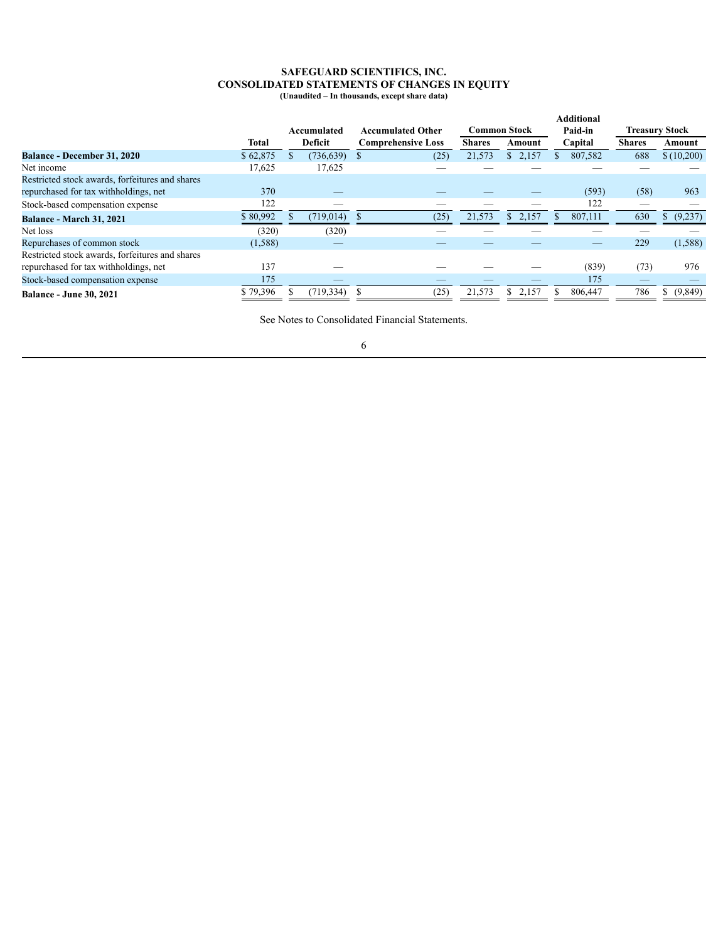### <span id="page-6-0"></span>**SAFEGUARD SCIENTIFICS, INC. CONSOLIDATED STATEMENTS OF CHANGES IN EQUITY (Unaudited – In thousands, except share data)**

|                                                 |              |             |                           |               |                     | <b>Additional</b> |               |                       |
|-------------------------------------------------|--------------|-------------|---------------------------|---------------|---------------------|-------------------|---------------|-----------------------|
|                                                 |              | Accumulated | <b>Accumulated Other</b>  |               | <b>Common Stock</b> | Paid-in           |               | <b>Treasury Stock</b> |
|                                                 | <b>Total</b> | Deficit     | <b>Comprehensive Loss</b> | <b>Shares</b> | Amount              | Capital           | <b>Shares</b> | Amount                |
| <b>Balance - December 31, 2020</b>              | \$62,875     | (736, 639)  | (25)                      | 21,573        | 2,157<br>\$         | 807,582           | 688           | \$(10,200)            |
| Net income                                      | 17,625       | 17,625      |                           |               |                     |                   |               |                       |
| Restricted stock awards, forfeitures and shares |              |             |                           |               |                     |                   |               |                       |
| repurchased for tax withholdings, net           | 370          |             |                           |               |                     | (593)             | (58)          | 963                   |
| Stock-based compensation expense                | 122          |             |                           |               |                     | 122               |               |                       |
| <b>Balance - March 31, 2021</b>                 | \$80,992     | (719, 014)  | (25)                      | 21,573        | 2,157<br>\$.        | 807,111           | 630           | (9,237)               |
| Net loss                                        | (320)        | (320)       |                           |               |                     |                   |               |                       |
| Repurchases of common stock                     | (1,588)      |             |                           |               |                     |                   | 229           | (1,588)               |
| Restricted stock awards, forfeitures and shares |              |             |                           |               |                     |                   |               |                       |
| repurchased for tax withholdings, net           | 137          |             |                           |               |                     | (839)             | (73)          | 976                   |
| Stock-based compensation expense                | 175          |             |                           |               |                     | 175               |               |                       |
| <b>Balance - June 30, 2021</b>                  | \$79,396     | (719, 334)  | (25)                      | 21,573        | 2,157<br>S.         | 806,447           | 786           | (9,849)               |

See Notes to Consolidated Financial Statements.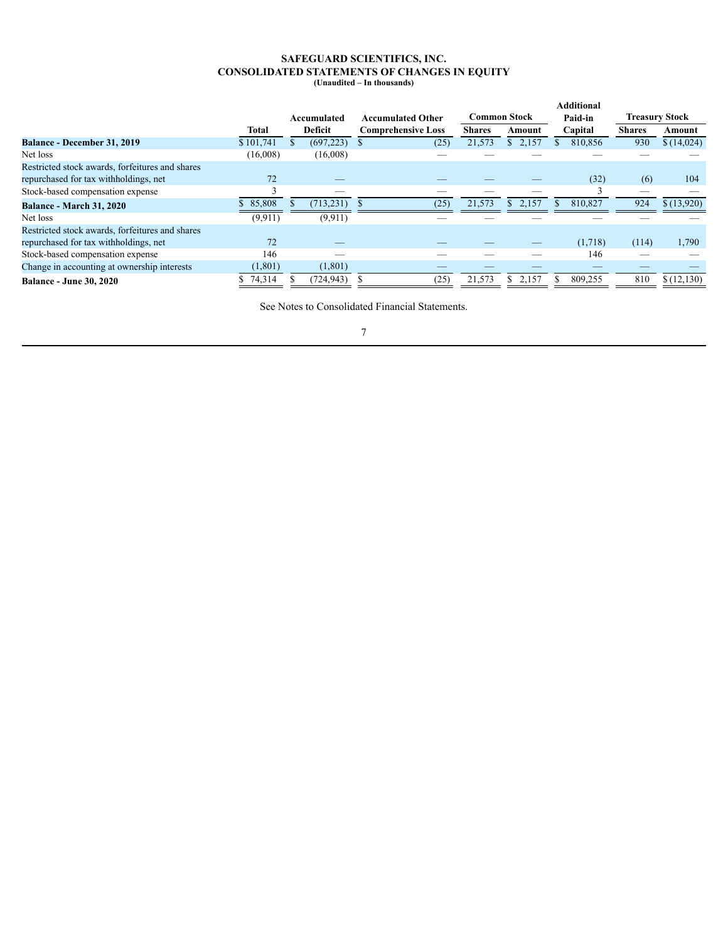#### **SAFEGUARD SCIENTIFICS, INC. CONSOLIDATED STATEMENTS OF CHANGES IN EQUITY (Unaudited – In thousands)**

|                                                 |           |             |            |                           |               |             |  | <b>Additional</b> |               |                       |
|-------------------------------------------------|-----------|-------------|------------|---------------------------|---------------|-------------|--|-------------------|---------------|-----------------------|
|                                                 |           | Accumulated |            | <b>Accumulated Other</b>  | Common Stock  |             |  | Paid-in           |               | <b>Treasury Stock</b> |
|                                                 | Total     |             | Deficit    | <b>Comprehensive Loss</b> | <b>Shares</b> | Amount      |  | Capital           | <b>Shares</b> | Amount                |
| <b>Balance - December 31, 2019</b>              | \$101,741 |             | (697, 223) | (25)                      | 21,573        | 2,157<br>\$ |  | 810,856           | 930           | \$(14,024)            |
| Net loss                                        | (16,008)  |             | (16,008)   |                           |               |             |  |                   |               |                       |
| Restricted stock awards, forfeitures and shares |           |             |            |                           |               |             |  |                   |               |                       |
| repurchased for tax withholdings, net           | 72        |             |            |                           |               |             |  | (32)              | (6)           | 104                   |
| Stock-based compensation expense                |           |             | ---        |                           |               |             |  |                   |               |                       |
| <b>Balance - March 31, 2020</b>                 | \$85,808  |             | (713, 231) | (25)                      | 21.573        | 2.157       |  | 810.827           | 924           | \$(13,920)            |
| Net loss                                        | (9,911)   |             | (9,911)    |                           |               |             |  |                   |               |                       |
| Restricted stock awards, forfeitures and shares |           |             |            |                           |               |             |  |                   |               |                       |
| repurchased for tax withholdings, net           | 72        |             |            |                           |               |             |  | (1,718)           | (114)         | 1,790                 |
| Stock-based compensation expense                | 146       |             |            |                           |               |             |  | 146               |               |                       |
| Change in accounting at ownership interests     | (1, 801)  |             | (1,801)    |                           |               |             |  |                   |               |                       |
| <b>Balance - June 30, 2020</b>                  | 74,314    |             | (724, 943) | (25)                      | 21,573        | S<br>2,157  |  | 809,255           | 810           | \$(12,130)            |

See Notes to Consolidated Financial Statements.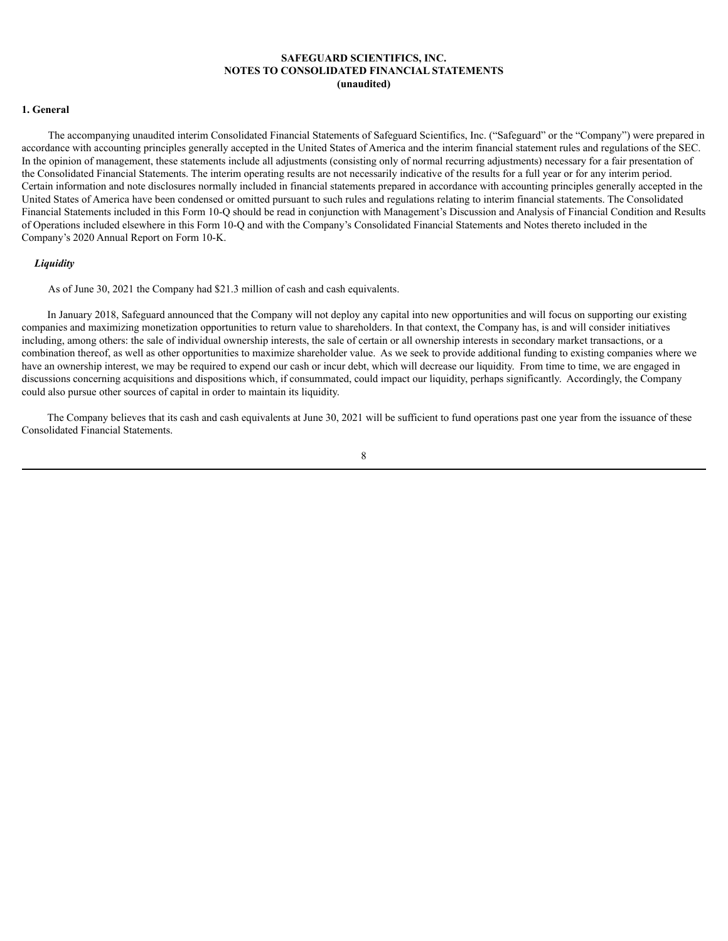#### <span id="page-8-0"></span>**1. General**

The accompanying unaudited interim Consolidated Financial Statements of Safeguard Scientifics, Inc. ("Safeguard" or the "Company") were prepared in accordance with accounting principles generally accepted in the United States of America and the interim financial statement rules and regulations of the SEC. In the opinion of management, these statements include all adjustments (consisting only of normal recurring adjustments) necessary for a fair presentation of the Consolidated Financial Statements. The interim operating results are not necessarily indicative of the results for a full year or for any interim period. Certain information and note disclosures normally included in financial statements prepared in accordance with accounting principles generally accepted in the United States of America have been condensed or omitted pursuant to such rules and regulations relating to interim financial statements. The Consolidated Financial Statements included in this Form 10-Q should be read in conjunction with Management's Discussion and Analysis of Financial Condition and Results of Operations included elsewhere in this Form 10-Q and with the Company's Consolidated Financial Statements and Notes thereto included in the Company's 2020 Annual Report on Form 10-K.

#### *Liquidity*

As of June 30, 2021 the Company had \$21.3 million of cash and cash equivalents.

In January 2018, Safeguard announced that the Company will not deploy any capital into new opportunities and will focus on supporting our existing companies and maximizing monetization opportunities to return value to shareholders. In that context, the Company has, is and will consider initiatives including, among others: the sale of individual ownership interests, the sale of certain or all ownership interests in secondary market transactions, or a combination thereof, as well as other opportunities to maximize shareholder value. As we seek to provide additional funding to existing companies where we have an ownership interest, we may be required to expend our cash or incur debt, which will decrease our liquidity. From time to time, we are engaged in discussions concerning acquisitions and dispositions which, if consummated, could impact our liquidity, perhaps significantly. Accordingly, the Company could also pursue other sources of capital in order to maintain its liquidity.

The Company believes that its cash and cash equivalents at June 30, 2021 will be sufficient to fund operations past one year from the issuance of these Consolidated Financial Statements.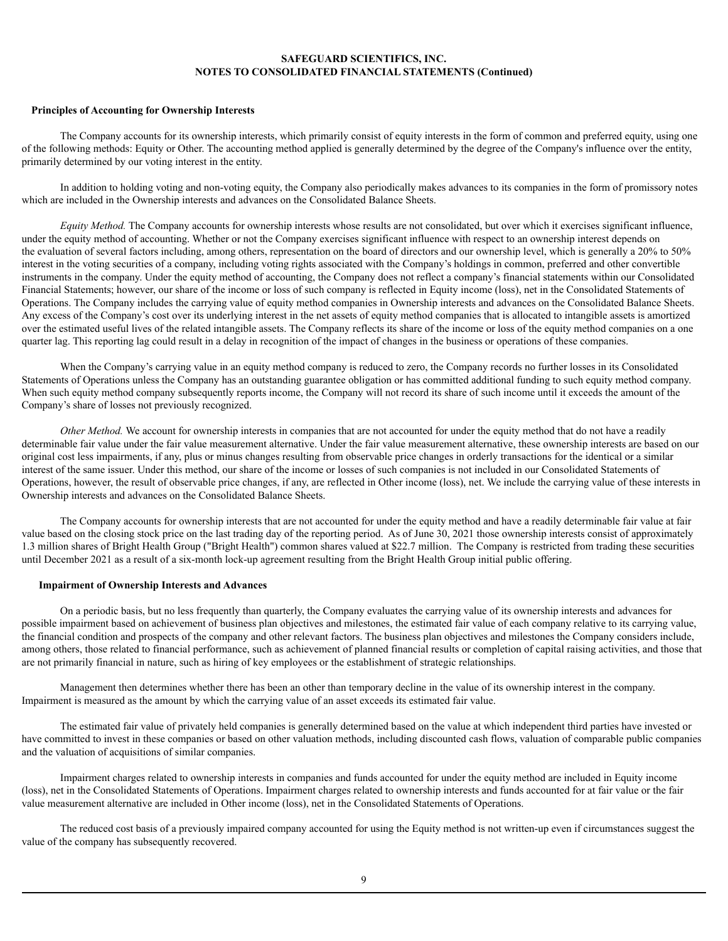#### **Principles of Accounting for Ownership Interests**

The Company accounts for its ownership interests, which primarily consist of equity interests in the form of common and preferred equity, using one of the following methods: Equity or Other. The accounting method applied is generally determined by the degree of the Company's influence over the entity, primarily determined by our voting interest in the entity.

In addition to holding voting and non-voting equity, the Company also periodically makes advances to its companies in the form of promissory notes which are included in the Ownership interests and advances on the Consolidated Balance Sheets.

*Equity Method.* The Company accounts for ownership interests whose results are not consolidated, but over which it exercises significant influence, under the equity method of accounting. Whether or not the Company exercises significant influence with respect to an ownership interest depends on the evaluation of several factors including, among others, representation on the board of directors and our ownership level, which is generally a 20% to 50% interest in the voting securities of a company, including voting rights associated with the Company's holdings in common, preferred and other convertible instruments in the company. Under the equity method of accounting, the Company does not reflect a company's financial statements within our Consolidated Financial Statements; however, our share of the income or loss of such company is reflected in Equity income (loss), net in the Consolidated Statements of Operations. The Company includes the carrying value of equity method companies in Ownership interests and advances on the Consolidated Balance Sheets. Any excess of the Company's cost over its underlying interest in the net assets of equity method companies that is allocated to intangible assets is amortized over the estimated useful lives of the related intangible assets. The Company reflects its share of the income or loss of the equity method companies on a one quarter lag. This reporting lag could result in a delay in recognition of the impact of changes in the business or operations of these companies.

When the Company's carrying value in an equity method company is reduced to zero, the Company records no further losses in its Consolidated Statements of Operations unless the Company has an outstanding guarantee obligation or has committed additional funding to such equity method company. When such equity method company subsequently reports income, the Company will not record its share of such income until it exceeds the amount of the Company's share of losses not previously recognized.

*Other Method.* We account for ownership interests in companies that are not accounted for under the equity method that do not have a readily determinable fair value under the fair value measurement alternative. Under the fair value measurement alternative, these ownership interests are based on our original cost less impairments, if any, plus or minus changes resulting from observable price changes in orderly transactions for the identical or a similar interest of the same issuer. Under this method, our share of the income or losses of such companies is not included in our Consolidated Statements of Operations, however, the result of observable price changes, if any, are reflected in Other income (loss), net. We include the carrying value of these interests in Ownership interests and advances on the Consolidated Balance Sheets.

The Company accounts for ownership interests that are not accounted for under the equity method and have a readily determinable fair value at fair value based on the closing stock price on the last trading day of the reporting period. As of June 30, 2021 those ownership interests consist of approximately 1.3 million shares of Bright Health Group ("Bright Health") common shares valued at \$22.7 million. The Company is restricted from trading these securities until December 2021 as a result of a six-month lock-up agreement resulting from the Bright Health Group initial public offering.

#### **Impairment of Ownership Interests and Advances**

On a periodic basis, but no less frequently than quarterly, the Company evaluates the carrying value of its ownership interests and advances for possible impairment based on achievement of business plan objectives and milestones, the estimated fair value of each company relative to its carrying value, the financial condition and prospects of the company and other relevant factors. The business plan objectives and milestones the Company considers include, among others, those related to financial performance, such as achievement of planned financial results or completion of capital raising activities, and those that are not primarily financial in nature, such as hiring of key employees or the establishment of strategic relationships.

Management then determines whether there has been an other than temporary decline in the value of its ownership interest in the company. Impairment is measured as the amount by which the carrying value of an asset exceeds its estimated fair value.

The estimated fair value of privately held companies is generally determined based on the value at which independent third parties have invested or have committed to invest in these companies or based on other valuation methods, including discounted cash flows, valuation of comparable public companies and the valuation of acquisitions of similar companies.

Impairment charges related to ownership interests in companies and funds accounted for under the equity method are included in Equity income (loss), net in the Consolidated Statements of Operations. Impairment charges related to ownership interests and funds accounted for at fair value or the fair value measurement alternative are included in Other income (loss), net in the Consolidated Statements of Operations.

The reduced cost basis of a previously impaired company accounted for using the Equity method is not written-up even if circumstances suggest the value of the company has subsequently recovered.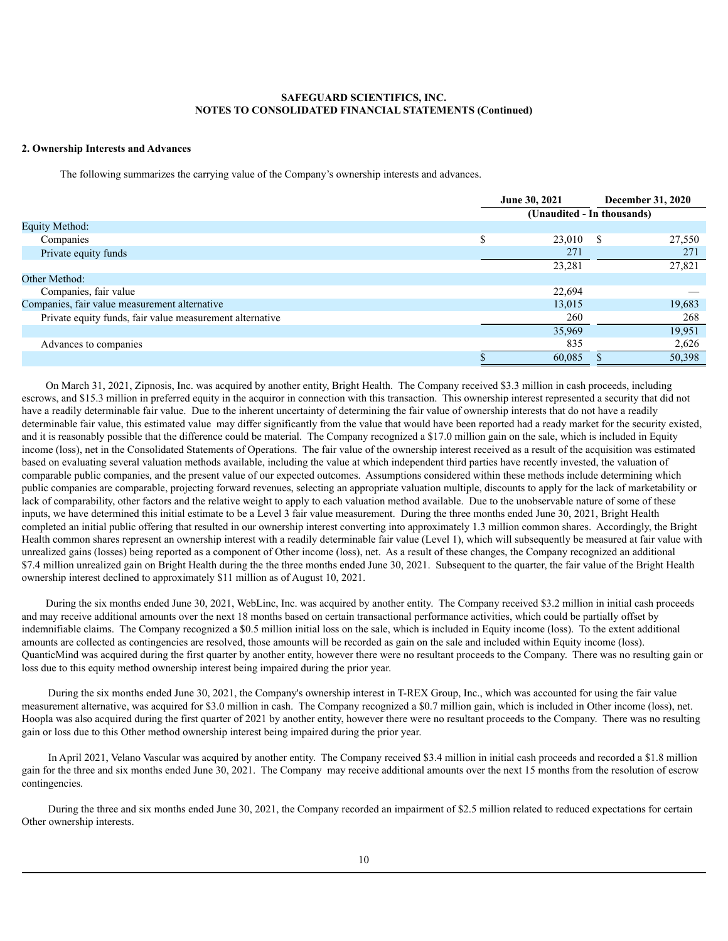#### **2. Ownership Interests and Advances**

The following summarizes the carrying value of the Company's ownership interests and advances.

|                                                          | June 30, 2021              |    | December 31, 2020 |  |  |
|----------------------------------------------------------|----------------------------|----|-------------------|--|--|
|                                                          | (Unaudited - In thousands) |    |                   |  |  |
| <b>Equity Method:</b>                                    |                            |    |                   |  |  |
| Companies                                                | 23,010                     | -S | 27,550            |  |  |
| Private equity funds                                     | 271                        |    | 271               |  |  |
|                                                          | 23,281                     |    | 27,821            |  |  |
| Other Method:                                            |                            |    |                   |  |  |
| Companies, fair value                                    | 22,694                     |    |                   |  |  |
| Companies, fair value measurement alternative            | 13,015                     |    | 19,683            |  |  |
| Private equity funds, fair value measurement alternative | 260                        |    | 268               |  |  |
|                                                          | 35,969                     |    | 19,951            |  |  |
| Advances to companies                                    | 835                        |    | 2,626             |  |  |
|                                                          | 60,085                     |    | 50,398            |  |  |

On March 31, 2021, Zipnosis, Inc. was acquired by another entity, Bright Health. The Company received \$3.3 million in cash proceeds, including escrows, and \$15.3 million in preferred equity in the acquiror in connection with this transaction. This ownership interest represented a security that did not have a readily determinable fair value. Due to the inherent uncertainty of determining the fair value of ownership interests that do not have a readily determinable fair value, this estimated value may differ significantly from the value that would have been reported had a ready market for the security existed, and it is reasonably possible that the difference could be material. The Company recognized a \$17.0 million gain on the sale, which is included in Equity income (loss), net in the Consolidated Statements of Operations. The fair value of the ownership interest received as a result of the acquisition was estimated based on evaluating several valuation methods available, including the value at which independent third parties have recently invested, the valuation of comparable public companies, and the present value of our expected outcomes. Assumptions considered within these methods include determining which public companies are comparable, projecting forward revenues, selecting an appropriate valuation multiple, discounts to apply for the lack of marketability or lack of comparability, other factors and the relative weight to apply to each valuation method available. Due to the unobservable nature of some of these inputs, we have determined this initial estimate to be a Level 3 fair value measurement. During the three months ended June 30, 2021, Bright Health completed an initial public offering that resulted in our ownership interest converting into approximately 1.3 million common shares. Accordingly, the Bright Health common shares represent an ownership interest with a readily determinable fair value (Level 1), which will subsequently be measured at fair value with unrealized gains (losses) being reported as a component of Other income (loss), net. As a result of these changes, the Company recognized an additional \$7.4 million unrealized gain on Bright Health during the the three months ended June 30, 2021. Subsequent to the quarter, the fair value of the Bright Health ownership interest declined to approximately \$11 million as of August 10, 2021.

During the six months ended June 30, 2021, WebLinc, Inc. was acquired by another entity. The Company received \$3.2 million in initial cash proceeds and may receive additional amounts over the next 18 months based on certain transactional performance activities, which could be partially offset by indemnifiable claims. The Company recognized a \$0.5 million initial loss on the sale, which is included in Equity income (loss). To the extent additional amounts are collected as contingencies are resolved, those amounts will be recorded as gain on the sale and included within Equity income (loss). QuanticMind was acquired during the first quarter by another entity, however there were no resultant proceeds to the Company. There was no resulting gain or loss due to this equity method ownership interest being impaired during the prior year.

During the six months ended June 30, 2021, the Company's ownership interest in T-REX Group, Inc., which was accounted for using the fair value measurement alternative, was acquired for \$3.0 million in cash. The Company recognized a \$0.7 million gain, which is included in Other income (loss), net. Hoopla was also acquired during the first quarter of 2021 by another entity, however there were no resultant proceeds to the Company. There was no resulting gain or loss due to this Other method ownership interest being impaired during the prior year.

In April 2021, Velano Vascular was acquired by another entity. The Company received \$3.4 million in initial cash proceeds and recorded a \$1.8 million gain for the three and six months ended June 30, 2021. The Company may receive additional amounts over the next 15 months from the resolution of escrow contingencies.

During the three and six months ended June 30, 2021, the Company recorded an impairment of \$2.5 million related to reduced expectations for certain Other ownership interests.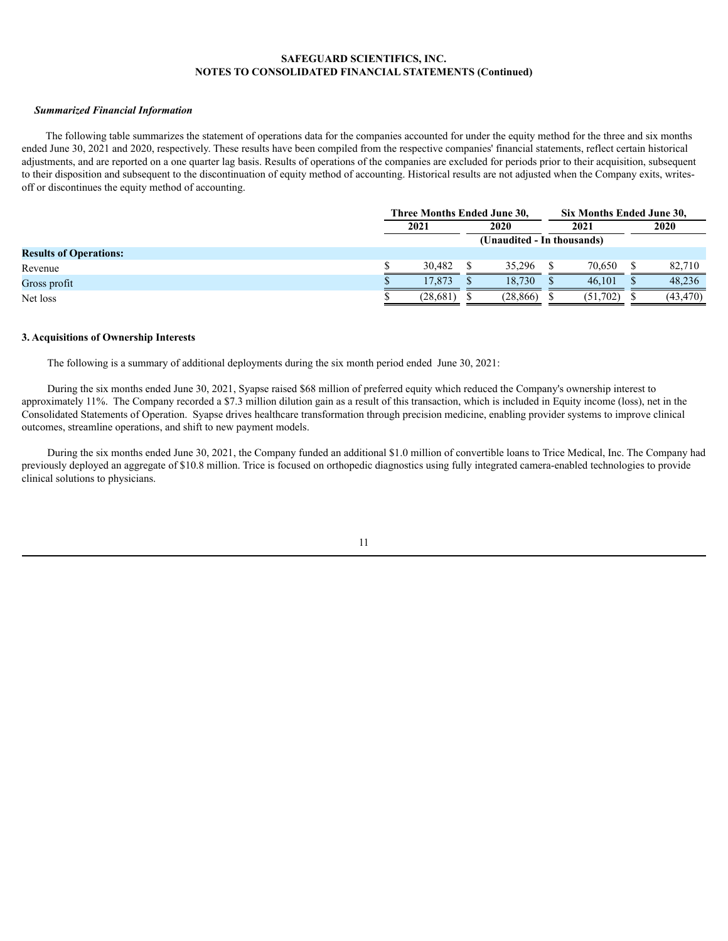#### *Summarized Financial Information*

The following table summarizes the statement of operations data for the companies accounted for under the equity method for the three and six months ended June 30, 2021 and 2020, respectively. These results have been compiled from the respective companies' financial statements, reflect certain historical adjustments, and are reported on a one quarter lag basis. Results of operations of the companies are excluded for periods prior to their acquisition, subsequent to their disposition and subsequent to the discontinuation of equity method of accounting. Historical results are not adjusted when the Company exits, writesoff or discontinues the equity method of accounting.

|                               |                            | Three Months Ended June 30, |      |           |      | Six Months Ended June 30, |  |           |
|-------------------------------|----------------------------|-----------------------------|------|-----------|------|---------------------------|--|-----------|
|                               | 2021                       |                             | 2020 |           | 2021 |                           |  | 2020      |
|                               | (Unaudited - In thousands) |                             |      |           |      |                           |  |           |
| <b>Results of Operations:</b> |                            |                             |      |           |      |                           |  |           |
| Revenue                       |                            | 30.482                      |      | 35.296    |      | 70.650                    |  | 82.710    |
| Gross profit                  |                            | 17.873                      |      | 18.730    |      | 46.101                    |  | 48,236    |
| Net loss                      |                            | (28, 681)                   |      | (28, 866) |      | (51,702)                  |  | (43, 470) |

#### **3. Acquisitions of Ownership Interests**

The following is a summary of additional deployments during the six month period ended June 30, 2021:

During the six months ended June 30, 2021, Syapse raised \$68 million of preferred equity which reduced the Company's ownership interest to approximately 11%. The Company recorded a \$7.3 million dilution gain as a result of this transaction, which is included in Equity income (loss), net in the Consolidated Statements of Operation. Syapse drives healthcare transformation through precision medicine, enabling provider systems to improve clinical outcomes, streamline operations, and shift to new payment models.

During the six months ended June 30, 2021, the Company funded an additional \$1.0 million of convertible loans to Trice Medical, Inc. The Company had previously deployed an aggregate of \$10.8 million. Trice is focused on orthopedic diagnostics using fully integrated camera-enabled technologies to provide clinical solutions to physicians.

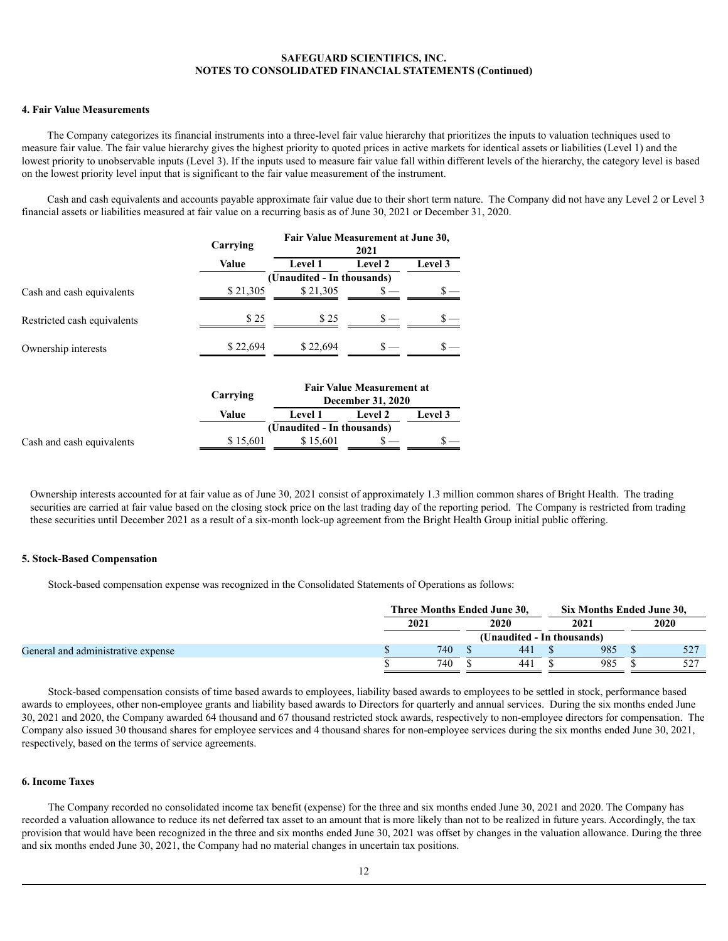#### **4. Fair Value Measurements**

The Company categorizes its financial instruments into a three-level fair value hierarchy that prioritizes the inputs to valuation techniques used to measure fair value. The fair value hierarchy gives the highest priority to quoted prices in active markets for identical assets or liabilities (Level 1) and the lowest priority to unobservable inputs (Level 3). If the inputs used to measure fair value fall within different levels of the hierarchy, the category level is based on the lowest priority level input that is significant to the fair value measurement of the instrument.

Cash and cash equivalents and accounts payable approximate fair value due to their short term nature. The Company did not have any Level 2 or Level 3 financial assets or liabilities measured at fair value on a recurring basis as of June 30, 2021 or December 31, 2020.

|                             | Carrying | Fair Value Measurement at June 30, |                |         |  |
|-----------------------------|----------|------------------------------------|----------------|---------|--|
|                             | Value    | <b>Level 1</b>                     | <b>Level 2</b> | Level 3 |  |
|                             |          | (Unaudited - In thousands)         |                |         |  |
| Cash and cash equivalents   | \$21,305 | \$21,305                           |                |         |  |
| Restricted cash equivalents | \$25     | \$25                               |                |         |  |
| Ownership interests         | \$22,694 | \$22,694                           |                |         |  |

|                           | Carrying |                            | <b>Fair Value Measurement at</b><br><b>December 31, 2020</b> |         |
|---------------------------|----------|----------------------------|--------------------------------------------------------------|---------|
|                           | Value    | <b>Level 1</b>             | <b>Level 2</b>                                               | Level 3 |
|                           |          | (Unaudited - In thousands) |                                                              |         |
| Cash and cash equivalents | \$15.601 | \$15.601                   |                                                              |         |

Ownership interests accounted for at fair value as of June 30, 2021 consist of approximately 1.3 million common shares of Bright Health. The trading securities are carried at fair value based on the closing stock price on the last trading day of the reporting period. The Company is restricted from trading these securities until December 2021 as a result of a six-month lock-up agreement from the Bright Health Group initial public offering.

#### **5. Stock-Based Compensation**

Stock-based compensation expense was recognized in the Consolidated Statements of Operations as follows:

|                                    | Three Months Ended June 30.  |  |                            | Six Months Ended June 30, |     |      |            |
|------------------------------------|------------------------------|--|----------------------------|---------------------------|-----|------|------------|
|                                    | <b>2020</b><br>$202^{\circ}$ |  | 2021                       |                           |     | 2020 |            |
|                                    |                              |  | (Unaudited - In thousands) |                           |     |      |            |
| General and administrative expense | 740                          |  | 441                        |                           | 985 |      | IJΖ        |
|                                    | 740                          |  | 441                        |                           | 985 |      | くつつ<br>ے ب |

Stock-based compensation consists of time based awards to employees, liability based awards to employees to be settled in stock, performance based awards to employees, other non-employee grants and liability based awards to Directors for quarterly and annual services. During the six months ended June 30, 2021 and 2020, the Company awarded 64 thousand and 67 thousand restricted stock awards, respectively to non-employee directors for compensation. The Company also issued 30 thousand shares for employee services and 4 thousand shares for non-employee services during the six months ended June 30, 2021, respectively, based on the terms of service agreements.

#### **6. Income Taxes**

The Company recorded no consolidated income tax benefit (expense) for the three and six months ended June 30, 2021 and 2020. The Company has recorded a valuation allowance to reduce its net deferred tax asset to an amount that is more likely than not to be realized in future years. Accordingly, the tax provision that would have been recognized in the three and six months ended June 30, 2021 was offset by changes in the valuation allowance. During the three and six months ended June 30, 2021, the Company had no material changes in uncertain tax positions.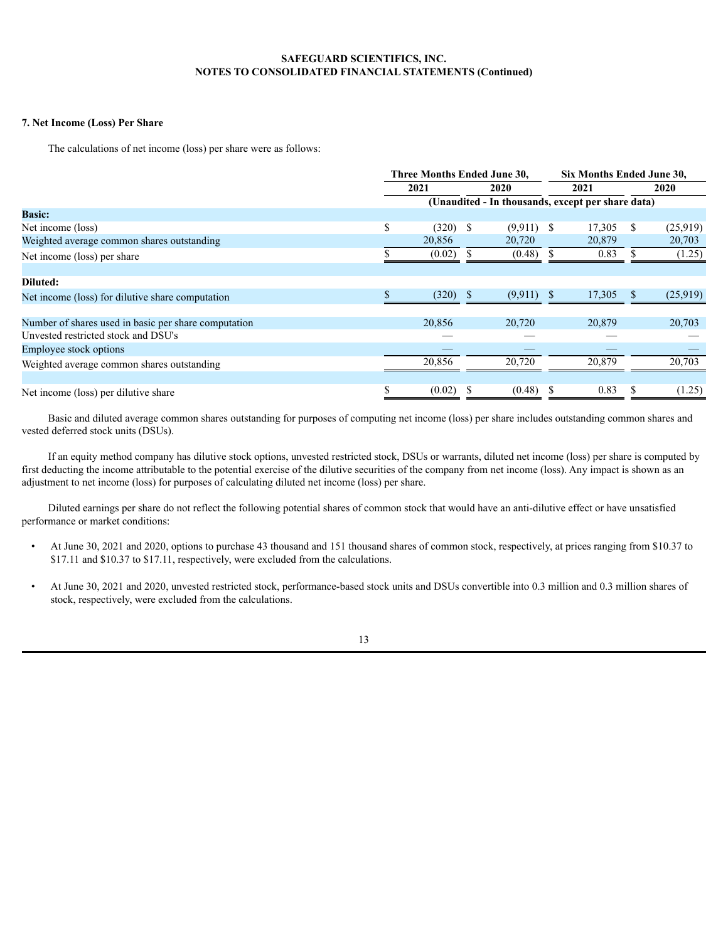### **7. Net Income (Loss) Per Share**

The calculations of net income (loss) per share were as follows:

|                                                      | Three Months Ended June 30, |              |              |              | Six Months Ended June 30, |                                                   |          |          |
|------------------------------------------------------|-----------------------------|--------------|--------------|--------------|---------------------------|---------------------------------------------------|----------|----------|
|                                                      |                             | 2021<br>2020 |              | 2021         |                           | <b>2020</b>                                       |          |          |
|                                                      |                             |              |              |              |                           | (Unaudited - In thousands, except per share data) |          |          |
| <b>Basic:</b>                                        |                             |              |              |              |                           |                                                   |          |          |
| Net income (loss)                                    | \$                          | (320)        | <sup>S</sup> | $(9.911)$ \$ |                           | 17,305                                            |          | (25,919) |
| Weighted average common shares outstanding           |                             | 20,856       |              | 20,720       |                           | 20,879                                            |          | 20,703   |
| Net income (loss) per share                          |                             | (0.02)       |              | (0.48)       |                           | 0.83                                              |          | (1.25)   |
| Diluted:                                             |                             |              |              |              |                           |                                                   |          |          |
| Net income (loss) for dilutive share computation     |                             | (320)        | <sup>S</sup> | $(9,911)$ \$ |                           | 17,305                                            | <b>S</b> | (25,919) |
| Number of shares used in basic per share computation |                             | 20,856       |              | 20,720       |                           | 20,879                                            |          | 20,703   |
| Unvested restricted stock and DSU's                  |                             |              |              |              |                           |                                                   |          |          |
| Employee stock options                               |                             |              |              |              |                           |                                                   |          |          |
| Weighted average common shares outstanding           |                             | 20,856       |              | 20.720       |                           | 20.879                                            |          | 20,703   |
|                                                      |                             |              |              |              |                           |                                                   |          |          |
| Net income (loss) per dilutive share                 |                             | (0.02)       |              | (0.48)       |                           | 0.83                                              |          | (1.25)   |

Basic and diluted average common shares outstanding for purposes of computing net income (loss) per share includes outstanding common shares and vested deferred stock units (DSUs).

If an equity method company has dilutive stock options, unvested restricted stock, DSUs or warrants, diluted net income (loss) per share is computed by first deducting the income attributable to the potential exercise of the dilutive securities of the company from net income (loss). Any impact is shown as an adjustment to net income (loss) for purposes of calculating diluted net income (loss) per share.

Diluted earnings per share do not reflect the following potential shares of common stock that would have an anti-dilutive effect or have unsatisfied performance or market conditions:

- At June 30, 2021 and 2020, options to purchase 43 thousand and 151 thousand shares of common stock, respectively, at prices ranging from \$10.37 to \$17.11 and \$10.37 to \$17.11, respectively, were excluded from the calculations.
- At June 30, 2021 and 2020, unvested restricted stock, performance-based stock units and DSUs convertible into 0.3 million and 0.3 million shares of stock, respectively, were excluded from the calculations.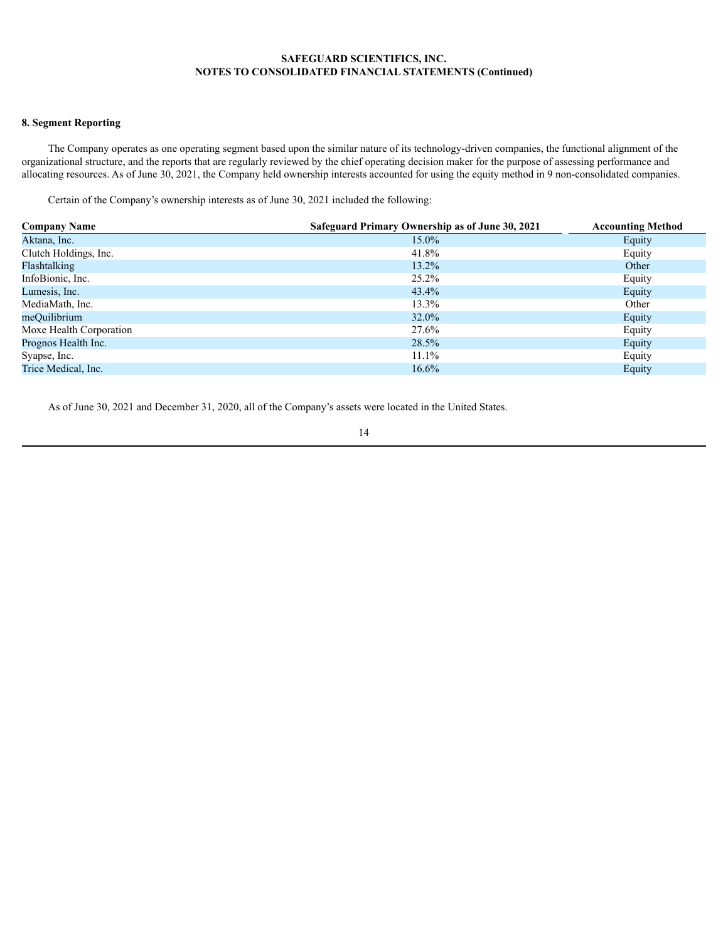### **8. Segment Reporting**

The Company operates as one operating segment based upon the similar nature of its technology-driven companies, the functional alignment of the organizational structure, and the reports that are regularly reviewed by the chief operating decision maker for the purpose of assessing performance and allocating resources. As of June 30, 2021, the Company held ownership interests accounted for using the equity method in 9 non-consolidated companies.

Certain of the Company's ownership interests as of June 30, 2021 included the following:

| <b>Company Name</b>     | Safeguard Primary Ownership as of June 30, 2021 | <b>Accounting Method</b> |
|-------------------------|-------------------------------------------------|--------------------------|
| Aktana, Inc.            | 15.0%                                           | Equity                   |
| Clutch Holdings, Inc.   | 41.8%                                           | Equity                   |
| Flashtalking            | 13.2%                                           | Other                    |
| InfoBionic, Inc.        | $25.2\%$                                        | Equity                   |
| Lumesis, Inc.           | 43.4%                                           | Equity                   |
| MediaMath, Inc.         | 13.3%                                           | Other                    |
| meQuilibrium            | 32.0%                                           | Equity                   |
| Moxe Health Corporation | 27.6%                                           | Equity                   |
| Prognos Health Inc.     | 28.5%                                           | Equity                   |
| Syapse, Inc.            | 11.1%                                           | Equity                   |
| Trice Medical, Inc.     | 16.6%                                           | Equity                   |

As of June 30, 2021 and December 31, 2020, all of the Company's assets were located in the United States.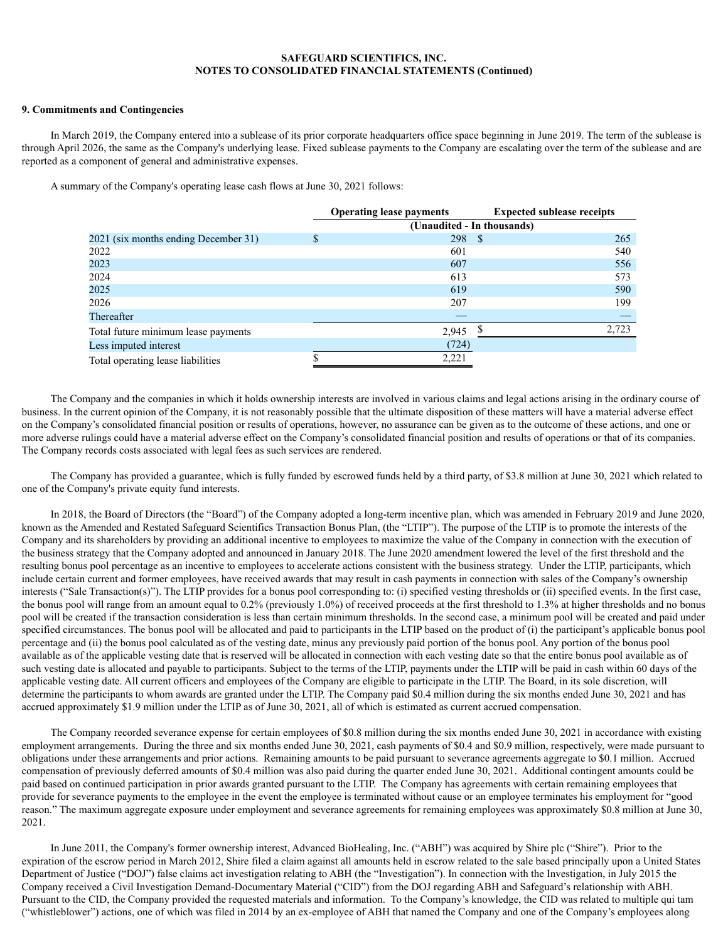#### **9. Commitments and Contingencies**

In March 2019, the Company entered into a sublease of its prior corporate headquarters office space beginning in June 2019. The term of the sublease is through April 2026, the same as the Company's underlying lease. Fixed sublease payments to the Company are escalating over the term of the sublease and are reported as a component of general and administrative expenses.

A summary of the Company's operating lease cash flows at June 30, 2021 follows:

|                                      |   | <b>Operating lease payments</b> | <b>Expected sublease receipts</b> |
|--------------------------------------|---|---------------------------------|-----------------------------------|
|                                      |   | (Unaudited - In thousands)      |                                   |
| 2021 (six months ending December 31) | S | 298                             | 265<br>- \$                       |
| 2022                                 |   | 601                             | 540                               |
| 2023                                 |   | 607                             | 556                               |
| 2024                                 |   | 613                             | 573                               |
| 2025                                 |   | 619                             | 590                               |
| 2026                                 |   | 207                             | 199                               |
| Thereafter                           |   |                                 |                                   |
| Total future minimum lease payments  |   | 2,945                           | 2,723                             |
| Less imputed interest                |   | (724)                           |                                   |
| Total operating lease liabilities    |   | 2,221                           |                                   |

The Company and the companies in which it holds ownership interests are involved in various claims and legal actions arising in the ordinary course of business. In the current opinion of the Company, it is not reasonably possible that the ultimate disposition of these matters will have a material adverse effect on the Company's consolidated financial position or results of operations, however, no assurance can be given as to the outcome of these actions, and one or more adverse rulings could have a material adverse effect on the Company's consolidated financial position and results of operations or that of its companies. The Company records costs associated with legal fees as such services are rendered.

The Company has provided a guarantee, which is fully funded by escrowed funds held by a third party, of \$3.8 million at June 30, 2021 which related to one of the Company's private equity fund interests.

In 2018, the Board of Directors (the "Board") of the Company adopted a long-term incentive plan, which was amended in February 2019 and June 2020, known as the Amended and Restated Safeguard Scientifics Transaction Bonus Plan, (the "LTIP"). The purpose of the LTIP is to promote the interests of the Company and its shareholders by providing an additional incentive to employees to maximize the value of the Company in connection with the execution of the business strategy that the Company adopted and announced in January 2018. The June 2020 amendment lowered the level of the first threshold and the resulting bonus pool percentage as an incentive to employees to accelerate actions consistent with the business strategy. Under the LTIP, participants, which include certain current and former employees, have received awards that may result in cash payments in connection with sales of the Company's ownership interests ("Sale Transaction(s)"). The LTIP provides for a bonus pool corresponding to: (i) specified vesting thresholds or (ii) specified events. In the first case, the bonus pool will range from an amount equal to 0.2% (previously 1.0%) of received proceeds at the first threshold to 1.3% at higher thresholds and no bonus pool will be created if the transaction consideration is less than certain minimum thresholds. In the second case, a minimum pool will be created and paid under specified circumstances. The bonus pool will be allocated and paid to participants in the LTIP based on the product of (i) the participant's applicable bonus pool percentage and (ii) the bonus pool calculated as of the vesting date, minus any previously paid portion of the bonus pool. Any portion of the bonus pool available as of the applicable vesting date that is reserved will be allocated in connection with each vesting date so that the entire bonus pool available as of such vesting date is allocated and payable to participants. Subject to the terms of the LTIP, payments under the LTIP will be paid in cash within 60 days of the applicable vesting date. All current officers and employees of the Company are eligible to participate in the LTIP. The Board, in its sole discretion, will determine the participants to whom awards are granted under the LTIP. The Company paid \$0.4 million during the six months ended June 30, 2021 and has accrued approximately \$1.9 million under the LTIP as of June 30, 2021, all of which is estimated as current accrued compensation.

The Company recorded severance expense for certain employees of \$0.8 million during the six months ended June 30, 2021 in accordance with existing employment arrangements. During the three and six months ended June 30, 2021, cash payments of \$0.4 and \$0.9 million, respectively, were made pursuant to obligations under these arrangements and prior actions. Remaining amounts to be paid pursuant to severance agreements aggregate to \$0.1 million. Accrued compensation of previously deferred amounts of \$0.4 million was also paid during the quarter ended June 30, 2021. Additional contingent amounts could be paid based on continued participation in prior awards granted pursuant to the LTIP. The Company has agreements with certain remaining employees that provide for severance payments to the employee in the event the employee is terminated without cause or an employee terminates his employment for "good reason." The maximum aggregate exposure under employment and severance agreements for remaining employees was approximately \$0.8 million at June 30, 2021.

In June 2011, the Company's former ownership interest, Advanced BioHealing, Inc. ("ABH") was acquired by Shire plc ("Shire"). Prior to the expiration of the escrow period in March 2012, Shire filed a claim against all amounts held in escrow related to the sale based principally upon a United States Department of Justice ("DOJ") false claims act investigation relating to ABH (the "Investigation"). In connection with the Investigation, in July 2015 the Company received a Civil Investigation Demand-Documentary Material ("CID") from the DOJ regarding ABH and Safeguard's relationship with ABH. Pursuant to the CID, the Company provided the requested materials and information. To the Company's knowledge, the CID was related to multiple qui tam ("whistleblower") actions, one of which was filed in 2014 by an ex-employee of ABH that named the Company and one of the Company's employees along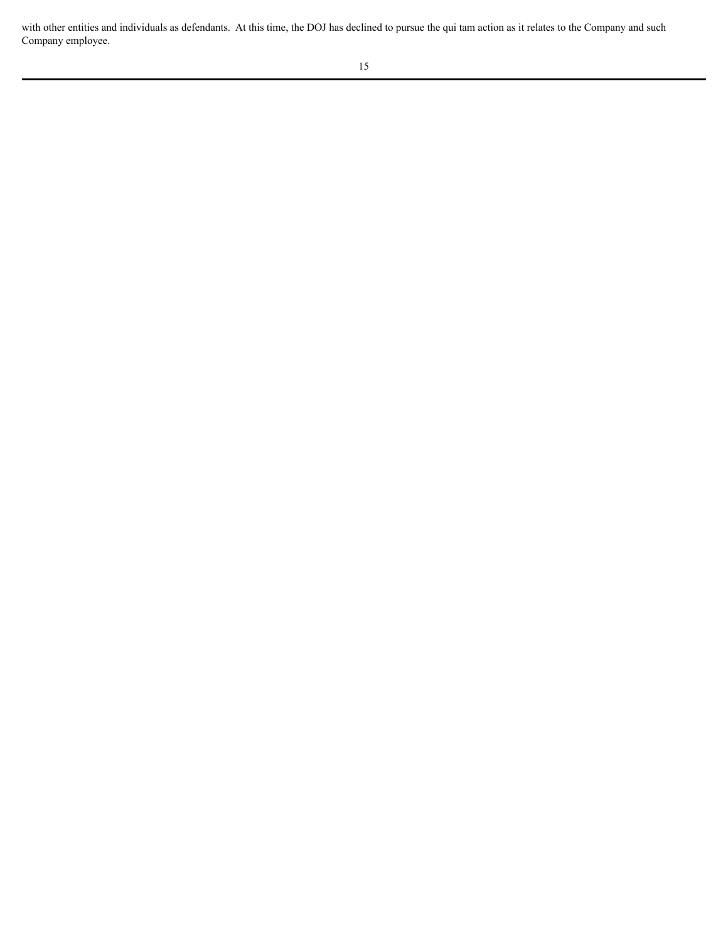with other entities and individuals as defendants. At this time, the DOJ has declined to pursue the qui tam action as it relates to the Company and such Company employee.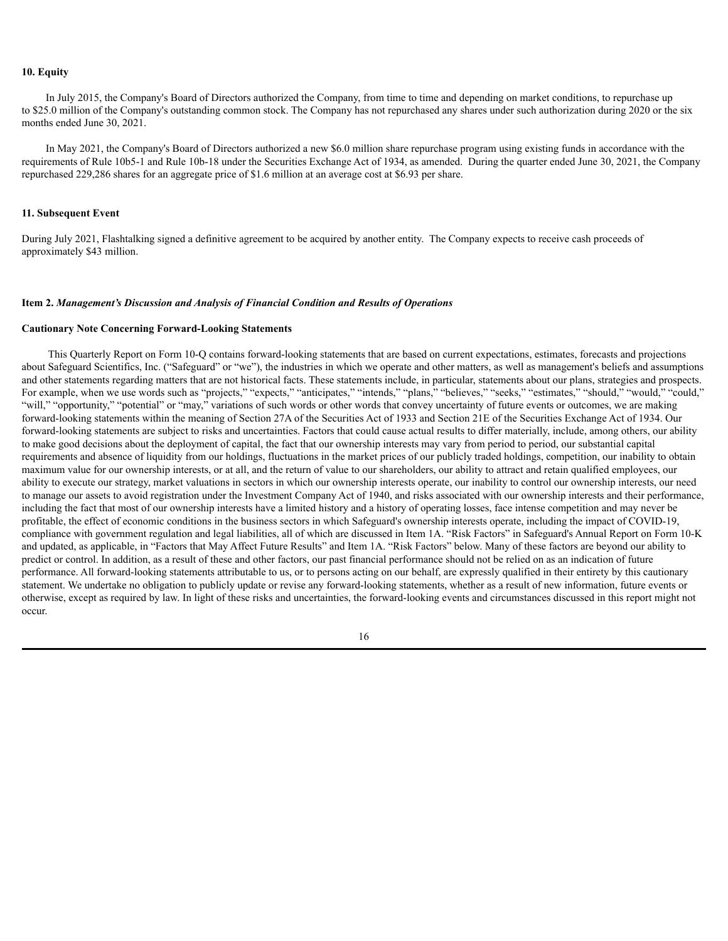#### **10. Equity**

In July 2015, the Company's Board of Directors authorized the Company, from time to time and depending on market conditions, to repurchase up to \$25.0 million of the Company's outstanding common stock. The Company has not repurchased any shares under such authorization during 2020 or the six months ended June 30, 2021.

In May 2021, the Company's Board of Directors authorized a new \$6.0 million share repurchase program using existing funds in accordance with the requirements of Rule 10b5-1 and Rule 10b-18 under the Securities Exchange Act of 1934, as amended. During the quarter ended June 30, 2021, the Company repurchased 229,286 shares for an aggregate price of \$1.6 million at an average cost at \$6.93 per share.

#### **11. Subsequent Event**

During July 2021, Flashtalking signed a definitive agreement to be acquired by another entity. The Company expects to receive cash proceeds of approximately \$43 million.

#### <span id="page-17-0"></span>**Item 2.** *Management's Discussion and Analysis of Financial Condition and Results of Operations*

#### **Cautionary Note Concerning Forward-Looking Statements**

This Quarterly Report on Form 10-Q contains forward-looking statements that are based on current expectations, estimates, forecasts and projections about Safeguard Scientifics, Inc. ("Safeguard" or "we"), the industries in which we operate and other matters, as well as management's beliefs and assumptions and other statements regarding matters that are not historical facts. These statements include, in particular, statements about our plans, strategies and prospects. For example, when we use words such as "projects," "expects," "anticipates," "intends," "plans," "believes," "seeks," "estimates," "should," "would," "could," "will," "opportunity," "potential" or "may," variations of such words or other words that convey uncertainty of future events or outcomes, we are making forward-looking statements within the meaning of Section 27A of the Securities Act of 1933 and Section 21E of the Securities Exchange Act of 1934. Our forward-looking statements are subject to risks and uncertainties. Factors that could cause actual results to differ materially, include, among others, our ability to make good decisions about the deployment of capital, the fact that our ownership interests may vary from period to period, our substantial capital requirements and absence of liquidity from our holdings, fluctuations in the market prices of our publicly traded holdings, competition, our inability to obtain maximum value for our ownership interests, or at all, and the return of value to our shareholders, our ability to attract and retain qualified employees, our ability to execute our strategy, market valuations in sectors in which our ownership interests operate, our inability to control our ownership interests, our need to manage our assets to avoid registration under the Investment Company Act of 1940, and risks associated with our ownership interests and their performance, including the fact that most of our ownership interests have a limited history and a history of operating losses, face intense competition and may never be profitable, the effect of economic conditions in the business sectors in which Safeguard's ownership interests operate, including the impact of COVID-19, compliance with government regulation and legal liabilities, all of which are discussed in Item 1A. "Risk Factors" in Safeguard's Annual Report on Form 10-K and updated, as applicable, in "Factors that May Affect Future Results" and Item 1A. "Risk Factors" below. Many of these factors are beyond our ability to predict or control. In addition, as a result of these and other factors, our past financial performance should not be relied on as an indication of future performance. All forward-looking statements attributable to us, or to persons acting on our behalf, are expressly qualified in their entirety by this cautionary statement. We undertake no obligation to publicly update or revise any forward-looking statements, whether as a result of new information, future events or otherwise, except as required by law. In light of these risks and uncertainties, the forward-looking events and circumstances discussed in this report might not occur.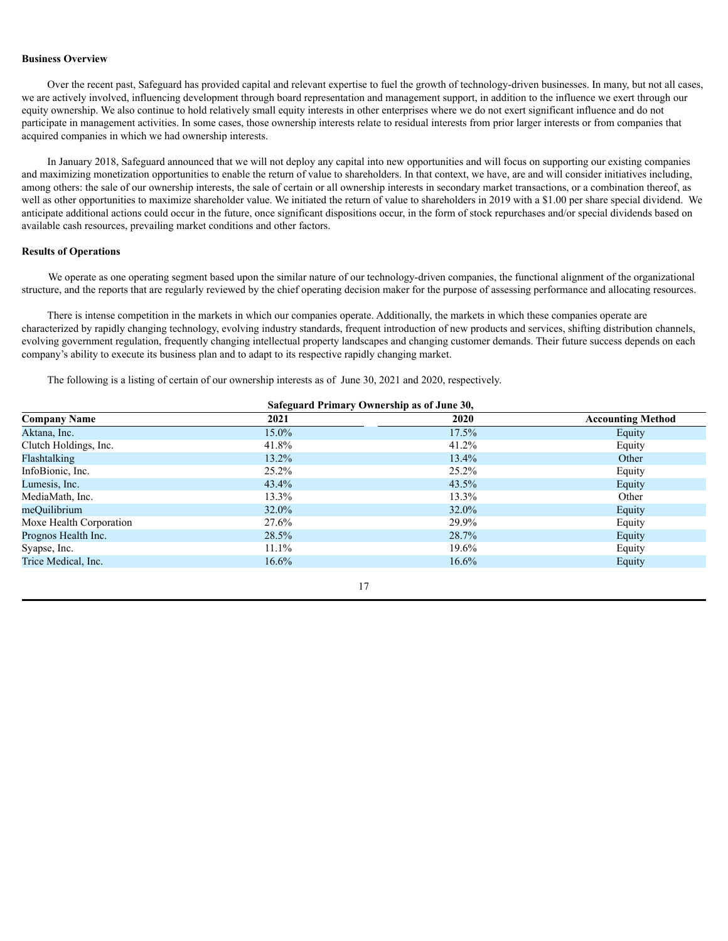#### **Business Overview**

Over the recent past, Safeguard has provided capital and relevant expertise to fuel the growth of technology-driven businesses. In many, but not all cases, we are actively involved, influencing development through board representation and management support, in addition to the influence we exert through our equity ownership. We also continue to hold relatively small equity interests in other enterprises where we do not exert significant influence and do not participate in management activities. In some cases, those ownership interests relate to residual interests from prior larger interests or from companies that acquired companies in which we had ownership interests.

In January 2018, Safeguard announced that we will not deploy any capital into new opportunities and will focus on supporting our existing companies and maximizing monetization opportunities to enable the return of value to shareholders. In that context, we have, are and will consider initiatives including, among others: the sale of our ownership interests, the sale of certain or all ownership interests in secondary market transactions, or a combination thereof, as well as other opportunities to maximize shareholder value. We initiated the return of value to shareholders in 2019 with a \$1.00 per share special dividend. We anticipate additional actions could occur in the future, once significant dispositions occur, in the form of stock repurchases and/or special dividends based on available cash resources, prevailing market conditions and other factors.

#### **Results of Operations**

We operate as one operating segment based upon the similar nature of our technology-driven companies, the functional alignment of the organizational structure, and the reports that are regularly reviewed by the chief operating decision maker for the purpose of assessing performance and allocating resources.

There is intense competition in the markets in which our companies operate. Additionally, the markets in which these companies operate are characterized by rapidly changing technology, evolving industry standards, frequent introduction of new products and services, shifting distribution channels, evolving government regulation, frequently changing intellectual property landscapes and changing customer demands. Their future success depends on each company's ability to execute its business plan and to adapt to its respective rapidly changing market.

The following is a listing of certain of our ownership interests as of June 30, 2021 and 2020, respectively.

| Safeguard Primary Ownership as of June 30, |          |          |                          |  |  |  |  |  |
|--------------------------------------------|----------|----------|--------------------------|--|--|--|--|--|
| <b>Company Name</b>                        | 2021     | 2020     | <b>Accounting Method</b> |  |  |  |  |  |
| Aktana, Inc.                               | $15.0\%$ | 17.5%    | Equity                   |  |  |  |  |  |
| Clutch Holdings, Inc.                      | 41.8%    | 41.2%    | Equity                   |  |  |  |  |  |
| Flashtalking                               | 13.2%    | 13.4%    | Other                    |  |  |  |  |  |
| InfoBionic, Inc.                           | 25.2%    | 25.2%    | Equity                   |  |  |  |  |  |
| Lumesis, Inc.                              | 43.4%    | $43.5\%$ | Equity                   |  |  |  |  |  |
| MediaMath, Inc.                            | 13.3%    | 13.3%    | Other                    |  |  |  |  |  |
| meQuilibrium                               | 32.0%    | 32.0%    | Equity                   |  |  |  |  |  |
| Moxe Health Corporation                    | 27.6%    | 29.9%    | Equity                   |  |  |  |  |  |
| Prognos Health Inc.                        | 28.5%    | 28.7%    | Equity                   |  |  |  |  |  |
| Syapse, Inc.                               | $11.1\%$ | 19.6%    | Equity                   |  |  |  |  |  |
| Trice Medical, Inc.                        | $16.6\%$ | 16.6%    | Equity                   |  |  |  |  |  |
|                                            |          |          |                          |  |  |  |  |  |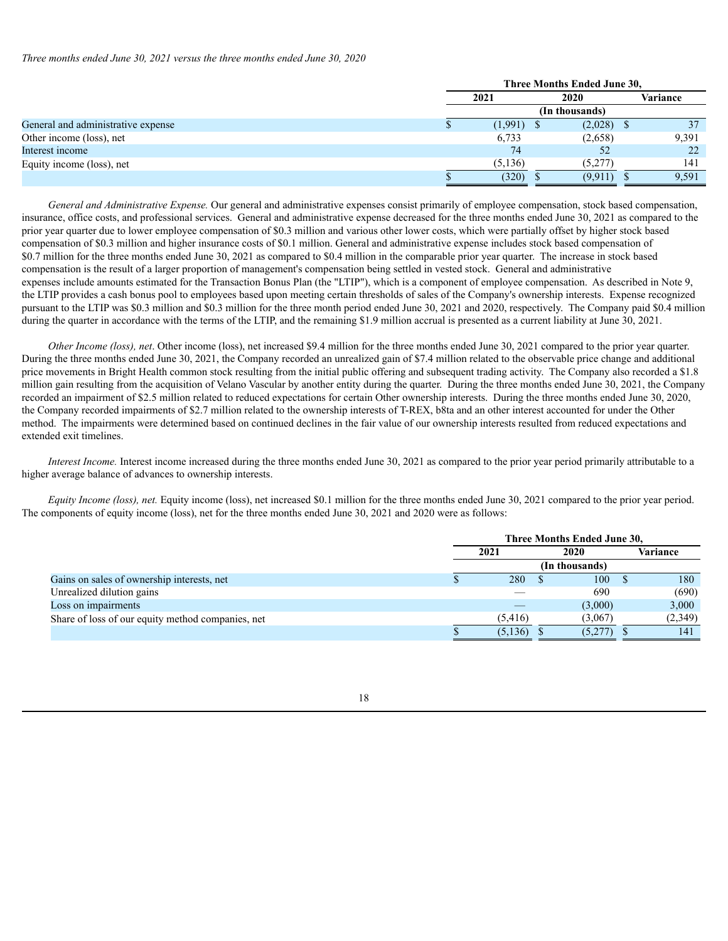#### *Three months ended June 30, 2021 versus the three months ended June 30, 2020*

|                                    | Three Months Ended June 30, |  |                |                 |       |  |
|------------------------------------|-----------------------------|--|----------------|-----------------|-------|--|
|                                    | 2021<br>2020                |  |                | <b>Variance</b> |       |  |
|                                    |                             |  | (In thousands) |                 |       |  |
| General and administrative expense | (1,991)                     |  | (2,028)        |                 | 37    |  |
| Other income (loss), net           | 6,733                       |  | (2,658)        |                 | 9.391 |  |
| Interest income                    | 74                          |  | 52             |                 | 22    |  |
| Equity income (loss), net          | (5, 136)                    |  | (5,277)        |                 | 141   |  |
|                                    | (320)                       |  | (9.911)        |                 | 9.591 |  |

*General and Administrative Expense.* Our general and administrative expenses consist primarily of employee compensation, stock based compensation, insurance, office costs, and professional services. General and administrative expense decreased for the three months ended June 30, 2021 as compared to the prior year quarter due to lower employee compensation of \$0.3 million and various other lower costs, which were partially offset by higher stock based compensation of \$0.3 million and higher insurance costs of \$0.1 million. General and administrative expense includes stock based compensation of \$0.7 million for the three months ended June 30, 2021 as compared to \$0.4 million in the comparable prior year quarter. The increase in stock based compensation is the result of a larger proportion of management's compensation being settled in vested stock. General and administrative expenses include amounts estimated for the Transaction Bonus Plan (the "LTIP"), which is a component of employee compensation. As described in Note 9, the LTIP provides a cash bonus pool to employees based upon meeting certain thresholds of sales of the Company's ownership interests. Expense recognized pursuant to the LTIP was \$0.3 million and \$0.3 million for the three month period ended June 30, 2021 and 2020, respectively. The Company paid \$0.4 million during the quarter in accordance with the terms of the LTIP, and the remaining \$1.9 million accrual is presented as a current liability at June 30, 2021.

*Other Income (loss), net*. Other income (loss), net increased \$9.4 million for the three months ended June 30, 2021 compared to the prior year quarter. During the three months ended June 30, 2021, the Company recorded an unrealized gain of \$7.4 million related to the observable price change and additional price movements in Bright Health common stock resulting from the initial public offering and subsequent trading activity. The Company also recorded a \$1.8 million gain resulting from the acquisition of Velano Vascular by another entity during the quarter. During the three months ended June 30, 2021, the Company recorded an impairment of \$2.5 million related to reduced expectations for certain Other ownership interests. During the three months ended June 30, 2020, the Company recorded impairments of \$2.7 million related to the ownership interests of T-REX, b8ta and an other interest accounted for under the Other method. The impairments were determined based on continued declines in the fair value of our ownership interests resulted from reduced expectations and extended exit timelines.

*Interest Income.* Interest income increased during the three months ended June 30, 2021 as compared to the prior year period primarily attributable to a higher average balance of advances to ownership interests.

*Equity Income (loss), net.* Equity income (loss), net increased \$0.1 million for the three months ended June 30, 2021 compared to the prior year period. The components of equity income (loss), net for the three months ended June 30, 2021 and 2020 were as follows:

|                                                   | Three Months Ended June 30, |              |  |                |  |          |
|---------------------------------------------------|-----------------------------|--------------|--|----------------|--|----------|
|                                                   |                             | 2021         |  | 2020           |  | Variance |
|                                                   |                             |              |  | (In thousands) |  |          |
| Gains on sales of ownership interests, net        |                             | 280          |  | 100            |  | 180      |
| Unrealized dilution gains                         |                             |              |  | 690            |  | (690)    |
| Loss on impairments                               |                             |              |  | (3,000)        |  | 3,000    |
| Share of loss of our equity method companies, net |                             | (5,416)      |  | (3,067)        |  | (2,349)  |
|                                                   |                             | $(5,136)$ \$ |  | (5,277)        |  | 141      |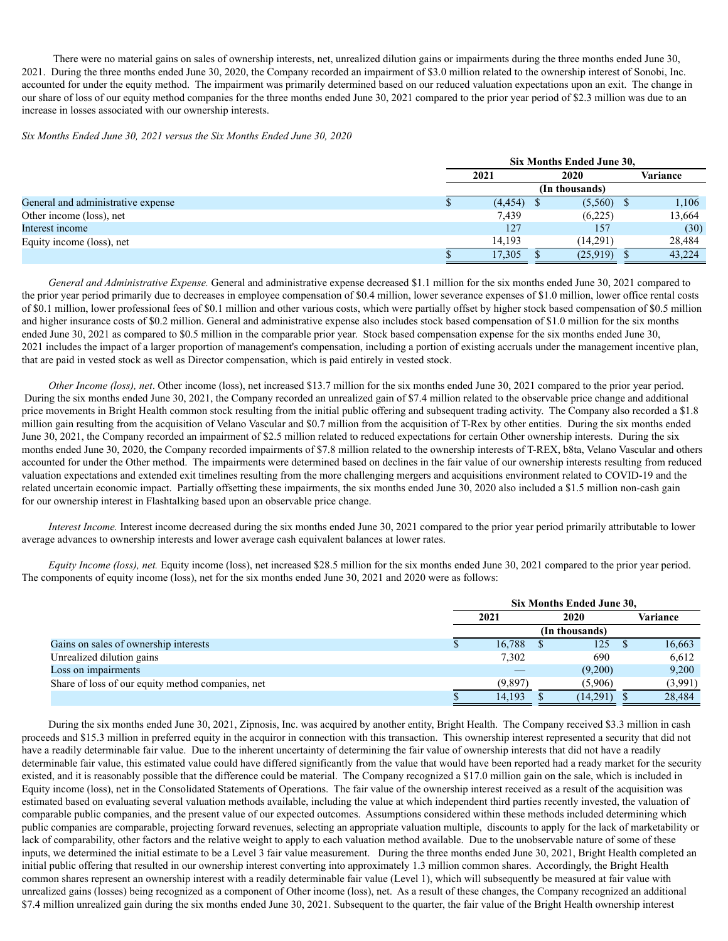There were no material gains on sales of ownership interests, net, unrealized dilution gains or impairments during the three months ended June 30, 2021. During the three months ended June 30, 2020, the Company recorded an impairment of \$3.0 million related to the ownership interest of Sonobi, Inc. accounted for under the equity method. The impairment was primarily determined based on our reduced valuation expectations upon an exit. The change in our share of loss of our equity method companies for the three months ended June 30, 2021 compared to the prior year period of \$2.3 million was due to an increase in losses associated with our ownership interests.

#### *Six Months Ended June 30, 2021 versus the Six Months Ended June 30, 2020*

|                                    | Six Months Ended June 30, |  |                |  |          |
|------------------------------------|---------------------------|--|----------------|--|----------|
|                                    | 2021                      |  | 2020           |  | Variance |
|                                    |                           |  | (In thousands) |  |          |
| General and administrative expense | (4,454)                   |  | (5,560)        |  | 1,106    |
| Other income (loss), net           | 7,439                     |  | (6,225)        |  | 13,664   |
| Interest income                    | 127                       |  | 157            |  | (30)     |
| Equity income (loss), net          | 14.193                    |  | (14.291)       |  | 28,484   |
|                                    | 17,305                    |  | (25,919)       |  | 43,224   |

*General and Administrative Expense.* General and administrative expense decreased \$1.1 million for the six months ended June 30, 2021 compared to the prior year period primarily due to decreases in employee compensation of \$0.4 million, lower severance expenses of \$1.0 million, lower office rental costs of \$0.1 million, lower professional fees of \$0.1 million and other various costs, which were partially offset by higher stock based compensation of \$0.5 million and higher insurance costs of \$0.2 million. General and administrative expense also includes stock based compensation of \$1.0 million for the six months ended June 30, 2021 as compared to \$0.5 million in the comparable prior year. Stock based compensation expense for the six months ended June 30, 2021 includes the impact of a larger proportion of management's compensation, including a portion of existing accruals under the management incentive plan, that are paid in vested stock as well as Director compensation, which is paid entirely in vested stock.

*Other Income (loss), net*. Other income (loss), net increased \$13.7 million for the six months ended June 30, 2021 compared to the prior year period. During the six months ended June 30, 2021, the Company recorded an unrealized gain of \$7.4 million related to the observable price change and additional price movements in Bright Health common stock resulting from the initial public offering and subsequent trading activity. The Company also recorded a \$1.8 million gain resulting from the acquisition of Velano Vascular and \$0.7 million from the acquisition of T-Rex by other entities. During the six months ended June 30, 2021, the Company recorded an impairment of \$2.5 million related to reduced expectations for certain Other ownership interests. During the six months ended June 30, 2020, the Company recorded impairments of \$7.8 million related to the ownership interests of T-REX, b8ta, Velano Vascular and others accounted for under the Other method. The impairments were determined based on declines in the fair value of our ownership interests resulting from reduced valuation expectations and extended exit timelines resulting from the more challenging mergers and acquisitions environment related to COVID-19 and the related uncertain economic impact. Partially offsetting these impairments, the six months ended June 30, 2020 also included a \$1.5 million non-cash gain for our ownership interest in Flashtalking based upon an observable price change.

*Interest Income.* Interest income decreased during the six months ended June 30, 2021 compared to the prior year period primarily attributable to lower average advances to ownership interests and lower average cash equivalent balances at lower rates.

*Equity Income (loss), net.* Equity income (loss), net increased \$28.5 million for the six months ended June 30, 2021 compared to the prior year period. The components of equity income (loss), net for the six months ended June 30, 2021 and 2020 were as follows:

|                                                   | Six Months Ended June 30, |  |                |  |          |
|---------------------------------------------------|---------------------------|--|----------------|--|----------|
|                                                   | 2021<br>2020              |  |                |  | Variance |
|                                                   |                           |  | (In thousands) |  |          |
| Gains on sales of ownership interests             | 16,788                    |  | 125            |  | 16,663   |
| Unrealized dilution gains                         | 7,302                     |  | 690            |  | 6.612    |
| Loss on impairments                               |                           |  | (9,200)        |  | 9,200    |
| Share of loss of our equity method companies, net | (9,897)                   |  | (5,906)        |  | (3,991)  |
|                                                   | 14.193                    |  | (14,291)       |  | 28,484   |

During the six months ended June 30, 2021, Zipnosis, Inc. was acquired by another entity, Bright Health. The Company received \$3.3 million in cash proceeds and \$15.3 million in preferred equity in the acquiror in connection with this transaction. This ownership interest represented a security that did not have a readily determinable fair value. Due to the inherent uncertainty of determining the fair value of ownership interests that did not have a readily determinable fair value, this estimated value could have differed significantly from the value that would have been reported had a ready market for the security existed, and it is reasonably possible that the difference could be material. The Company recognized a \$17.0 million gain on the sale, which is included in Equity income (loss), net in the Consolidated Statements of Operations. The fair value of the ownership interest received as a result of the acquisition was estimated based on evaluating several valuation methods available, including the value at which independent third parties recently invested, the valuation of comparable public companies, and the present value of our expected outcomes. Assumptions considered within these methods included determining which public companies are comparable, projecting forward revenues, selecting an appropriate valuation multiple, discounts to apply for the lack of marketability or lack of comparability, other factors and the relative weight to apply to each valuation method available. Due to the unobservable nature of some of these inputs, we determined the initial estimate to be a Level 3 fair value measurement. During the three months ended June 30, 2021, Bright Health completed an initial public offering that resulted in our ownership interest converting into approximately 1.3 million common shares. Accordingly, the Bright Health common shares represent an ownership interest with a readily determinable fair value (Level 1), which will subsequently be measured at fair value with unrealized gains (losses) being recognized as a component of Other income (loss), net. As a result of these changes, the Company recognized an additional \$7.4 million unrealized gain during the six months ended June 30, 2021. Subsequent to the quarter, the fair value of the Bright Health ownership interest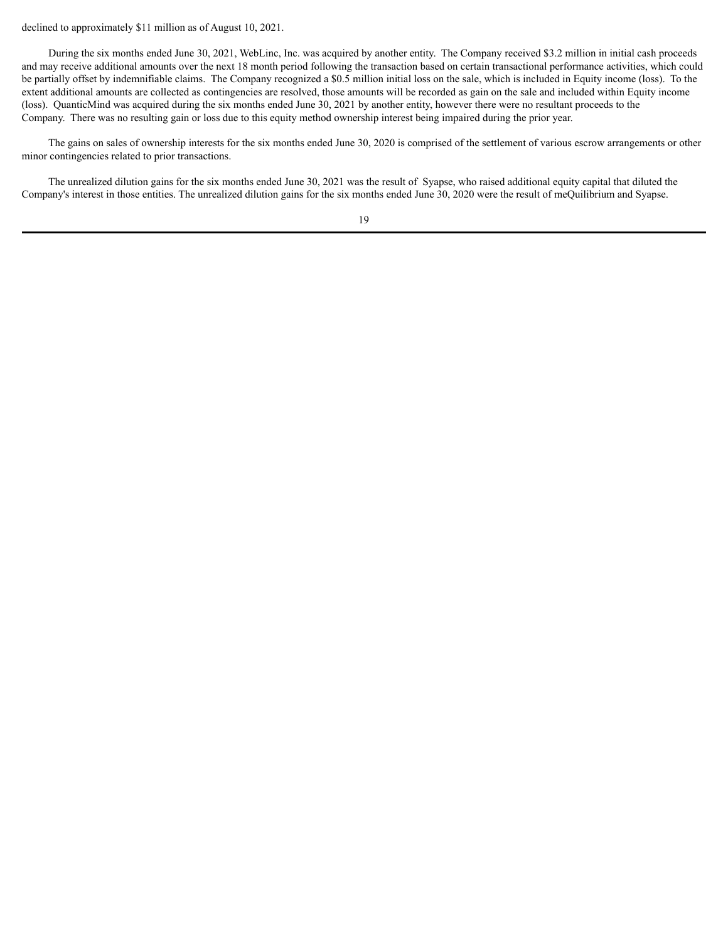declined to approximately \$11 million as of August 10, 2021.

During the six months ended June 30, 2021, WebLinc, Inc. was acquired by another entity. The Company received \$3.2 million in initial cash proceeds and may receive additional amounts over the next 18 month period following the transaction based on certain transactional performance activities, which could be partially offset by indemnifiable claims. The Company recognized a \$0.5 million initial loss on the sale, which is included in Equity income (loss). To the extent additional amounts are collected as contingencies are resolved, those amounts will be recorded as gain on the sale and included within Equity income (loss). QuanticMind was acquired during the six months ended June 30, 2021 by another entity, however there were no resultant proceeds to the Company. There was no resulting gain or loss due to this equity method ownership interest being impaired during the prior year.

The gains on sales of ownership interests for the six months ended June 30, 2020 is comprised of the settlement of various escrow arrangements or other minor contingencies related to prior transactions.

The unrealized dilution gains for the six months ended June 30, 2021 was the result of Syapse, who raised additional equity capital that diluted the Company's interest in those entities. The unrealized dilution gains for the six months ended June 30, 2020 were the result of meQuilibrium and Syapse.

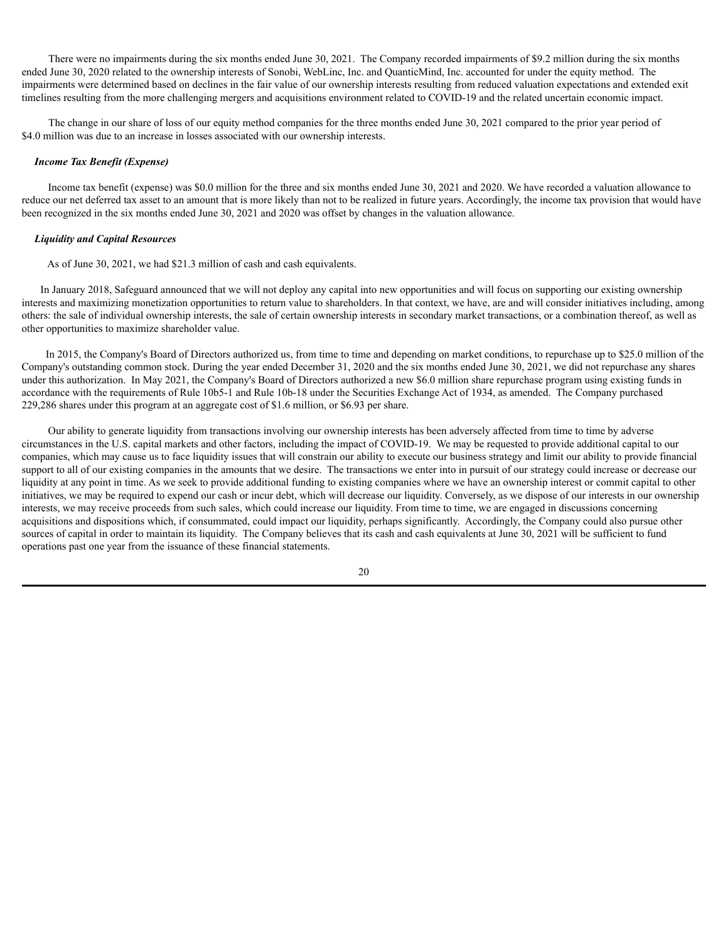There were no impairments during the six months ended June 30, 2021. The Company recorded impairments of \$9.2 million during the six months ended June 30, 2020 related to the ownership interests of Sonobi, WebLinc, Inc. and QuanticMind, Inc. accounted for under the equity method. The impairments were determined based on declines in the fair value of our ownership interests resulting from reduced valuation expectations and extended exit timelines resulting from the more challenging mergers and acquisitions environment related to COVID-19 and the related uncertain economic impact.

The change in our share of loss of our equity method companies for the three months ended June 30, 2021 compared to the prior year period of \$4.0 million was due to an increase in losses associated with our ownership interests.

#### *Income Tax Benefit (Expense)*

Income tax benefit (expense) was \$0.0 million for the three and six months ended June 30, 2021 and 2020. We have recorded a valuation allowance to reduce our net deferred tax asset to an amount that is more likely than not to be realized in future years. Accordingly, the income tax provision that would have been recognized in the six months ended June 30, 2021 and 2020 was offset by changes in the valuation allowance.

#### *Liquidity and Capital Resources*

As of June 30, 2021, we had \$21.3 million of cash and cash equivalents.

In January 2018, Safeguard announced that we will not deploy any capital into new opportunities and will focus on supporting our existing ownership interests and maximizing monetization opportunities to return value to shareholders. In that context, we have, are and will consider initiatives including, among others: the sale of individual ownership interests, the sale of certain ownership interests in secondary market transactions, or a combination thereof, as well as other opportunities to maximize shareholder value.

In 2015, the Company's Board of Directors authorized us, from time to time and depending on market conditions, to repurchase up to \$25.0 million of the Company's outstanding common stock. During the year ended December 31, 2020 and the six months ended June 30, 2021, we did not repurchase any shares under this authorization. In May 2021, the Company's Board of Directors authorized a new \$6.0 million share repurchase program using existing funds in accordance with the requirements of Rule 10b5-1 and Rule 10b-18 under the Securities Exchange Act of 1934, as amended. The Company purchased 229,286 shares under this program at an aggregate cost of \$1.6 million, or \$6.93 per share.

Our ability to generate liquidity from transactions involving our ownership interests has been adversely affected from time to time by adverse circumstances in the U.S. capital markets and other factors, including the impact of COVID-19. We may be requested to provide additional capital to our companies, which may cause us to face liquidity issues that will constrain our ability to execute our business strategy and limit our ability to provide financial support to all of our existing companies in the amounts that we desire. The transactions we enter into in pursuit of our strategy could increase or decrease our liquidity at any point in time. As we seek to provide additional funding to existing companies where we have an ownership interest or commit capital to other initiatives, we may be required to expend our cash or incur debt, which will decrease our liquidity. Conversely, as we dispose of our interests in our ownership interests, we may receive proceeds from such sales, which could increase our liquidity. From time to time, we are engaged in discussions concerning acquisitions and dispositions which, if consummated, could impact our liquidity, perhaps significantly. Accordingly, the Company could also pursue other sources of capital in order to maintain its liquidity. The Company believes that its cash and cash equivalents at June 30, 2021 will be sufficient to fund operations past one year from the issuance of these financial statements.

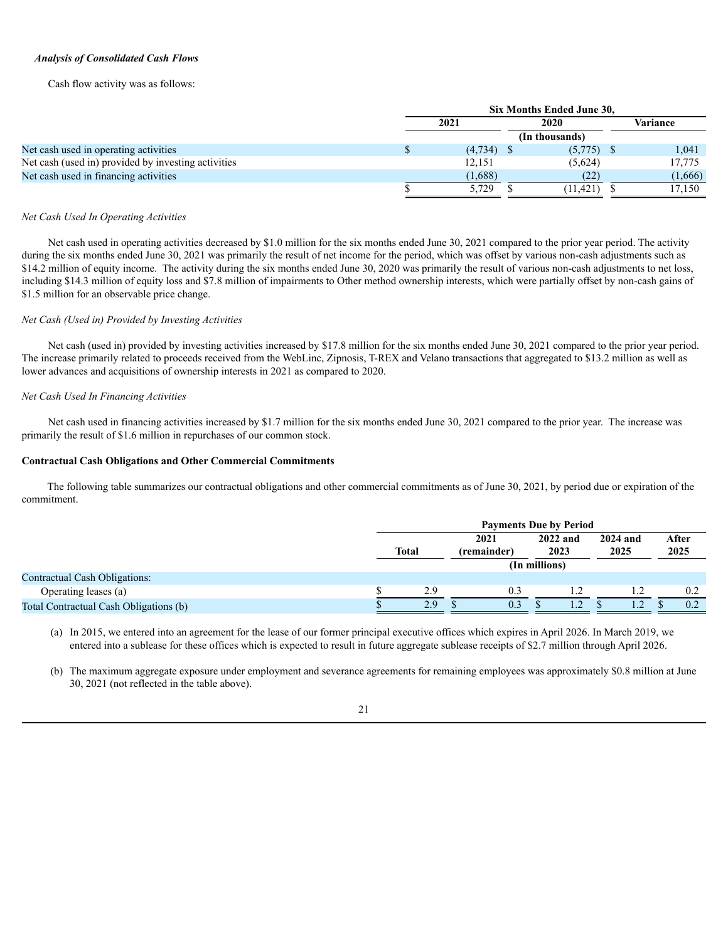#### *Analysis of Consolidated Cash Flows*

Cash flow activity was as follows:

|                                                     | Six Months Ended June 30, |  |                |  |          |  |  |
|-----------------------------------------------------|---------------------------|--|----------------|--|----------|--|--|
|                                                     | 2021                      |  |                |  | Variance |  |  |
|                                                     |                           |  | (In thousands) |  |          |  |  |
| Net cash used in operating activities               | (4,734)                   |  | (5,775)        |  | 1,041    |  |  |
| Net cash (used in) provided by investing activities | 12.151                    |  | (5,624)        |  | 17,775   |  |  |
| Net cash used in financing activities               | (1,688)                   |  | (22)           |  | (1,666)  |  |  |
|                                                     | 5,729                     |  | (11, 421)      |  | 17.150   |  |  |

#### *Net Cash Used In Operating Activities*

Net cash used in operating activities decreased by \$1.0 million for the six months ended June 30, 2021 compared to the prior year period. The activity during the six months ended June 30, 2021 was primarily the result of net income for the period, which was offset by various non-cash adjustments such as \$14.2 million of equity income. The activity during the six months ended June 30, 2020 was primarily the result of various non-cash adjustments to net loss, including \$14.3 million of equity loss and \$7.8 million of impairments to Other method ownership interests, which were partially offset by non-cash gains of \$1.5 million for an observable price change.

#### *Net Cash (Used in) Provided by Investing Activities*

Net cash (used in) provided by investing activities increased by \$17.8 million for the six months ended June 30, 2021 compared to the prior year period. The increase primarily related to proceeds received from the WebLinc, Zipnosis, T-REX and Velano transactions that aggregated to \$13.2 million as well as lower advances and acquisitions of ownership interests in 2021 as compared to 2020.

#### *Net Cash Used In Financing Activities*

Net cash used in financing activities increased by \$1.7 million for the six months ended June 30, 2021 compared to the prior year. The increase was primarily the result of \$1.6 million in repurchases of our common stock.

#### **Contractual Cash Obligations and Other Commercial Commitments**

The following table summarizes our contractual obligations and other commercial commitments as of June 30, 2021, by period due or expiration of the commitment.

|                                        | <b>Payments Due by Period</b>       |     |                  |                  |               |  |  |  |  |
|----------------------------------------|-------------------------------------|-----|------------------|------------------|---------------|--|--|--|--|
|                                        | 2021<br><b>Total</b><br>(remainder) |     | 2022 and<br>2023 | 2024 and<br>2025 | After<br>2025 |  |  |  |  |
|                                        |                                     |     | (In millions)    |                  |               |  |  |  |  |
| Contractual Cash Obligations:          |                                     |     |                  |                  |               |  |  |  |  |
| Operating leases (a)                   | 2.9                                 |     |                  |                  | 0.2           |  |  |  |  |
| Total Contractual Cash Obligations (b) | 2.9                                 | 0.3 | 1.2              | 1.2              | 0.2           |  |  |  |  |

(a) In 2015, we entered into an agreement for the lease of our former principal executive offices which expires in April 2026. In March 2019, we entered into a sublease for these offices which is expected to result in future aggregate sublease receipts of \$2.7 million through April 2026.

(b) The maximum aggregate exposure under employment and severance agreements for remaining employees was approximately \$0.8 million at June 30, 2021 (not reflected in the table above).

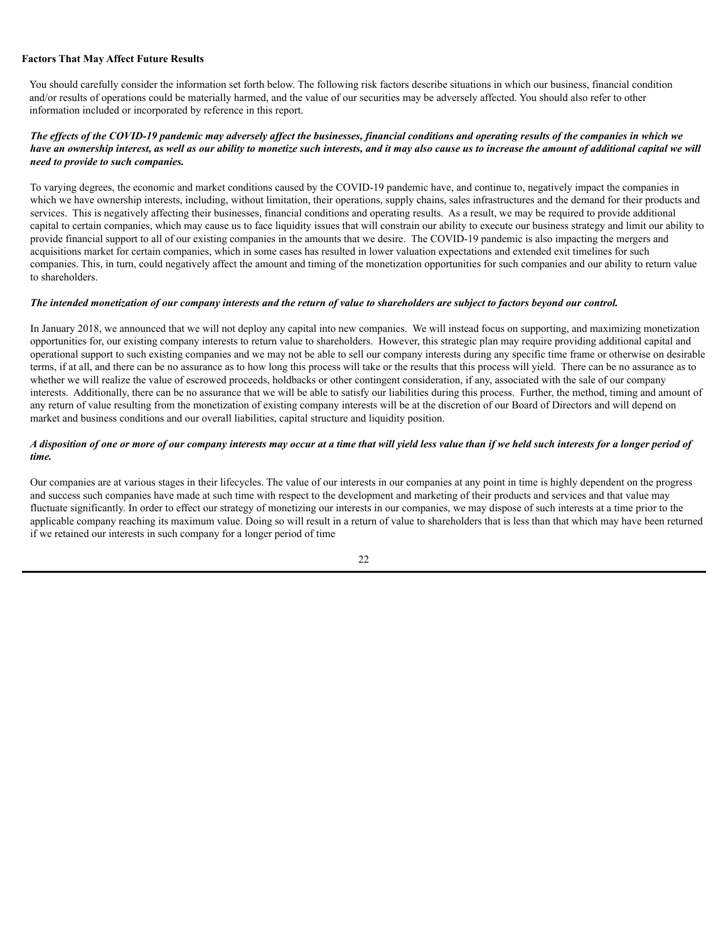#### **Factors That May Affect Future Results**

You should carefully consider the information set forth below. The following risk factors describe situations in which our business, financial condition and/or results of operations could be materially harmed, and the value of our securities may be adversely affected. You should also refer to other information included or incorporated by reference in this report.

### The effects of the COVID-19 pandemic may adversely affect the businesses, financial conditions and operating results of the companies in which we have an ownership interest, as well as our ability to monetize such interests, and it may also cause us to increase the amount of additional capital we will *need to provide to such companies.*

To varying degrees, the economic and market conditions caused by the COVID-19 pandemic have, and continue to, negatively impact the companies in which we have ownership interests, including, without limitation, their operations, supply chains, sales infrastructures and the demand for their products and services. This is negatively affecting their businesses, financial conditions and operating results. As a result, we may be required to provide additional capital to certain companies, which may cause us to face liquidity issues that will constrain our ability to execute our business strategy and limit our ability to provide financial support to all of our existing companies in the amounts that we desire. The COVID-19 pandemic is also impacting the mergers and acquisitions market for certain companies, which in some cases has resulted in lower valuation expectations and extended exit timelines for such companies. This, in turn, could negatively affect the amount and timing of the monetization opportunities for such companies and our ability to return value to shareholders.

#### The intended monetization of our company interests and the return of value to shareholders are subject to factors beyond our control.

In January 2018, we announced that we will not deploy any capital into new companies. We will instead focus on supporting, and maximizing monetization opportunities for, our existing company interests to return value to shareholders. However, this strategic plan may require providing additional capital and operational support to such existing companies and we may not be able to sell our company interests during any specific time frame or otherwise on desirable terms, if at all, and there can be no assurance as to how long this process will take or the results that this process will yield. There can be no assurance as to whether we will realize the value of escrowed proceeds, holdbacks or other contingent consideration, if any, associated with the sale of our company interests. Additionally, there can be no assurance that we will be able to satisfy our liabilities during this process. Further, the method, timing and amount of any return of value resulting from the monetization of existing company interests will be at the discretion of our Board of Directors and will depend on market and business conditions and our overall liabilities, capital structure and liquidity position.

### A disposition of one or more of our company interests may occur at a time that will yield less value than if we held such interests for a longer period of *time.*

Our companies are at various stages in their lifecycles. The value of our interests in our companies at any point in time is highly dependent on the progress and success such companies have made at such time with respect to the development and marketing of their products and services and that value may fluctuate significantly. In order to effect our strategy of monetizing our interests in our companies, we may dispose of such interests at a time prior to the applicable company reaching its maximum value. Doing so will result in a return of value to shareholders that is less than that which may have been returned if we retained our interests in such company for a longer period of time

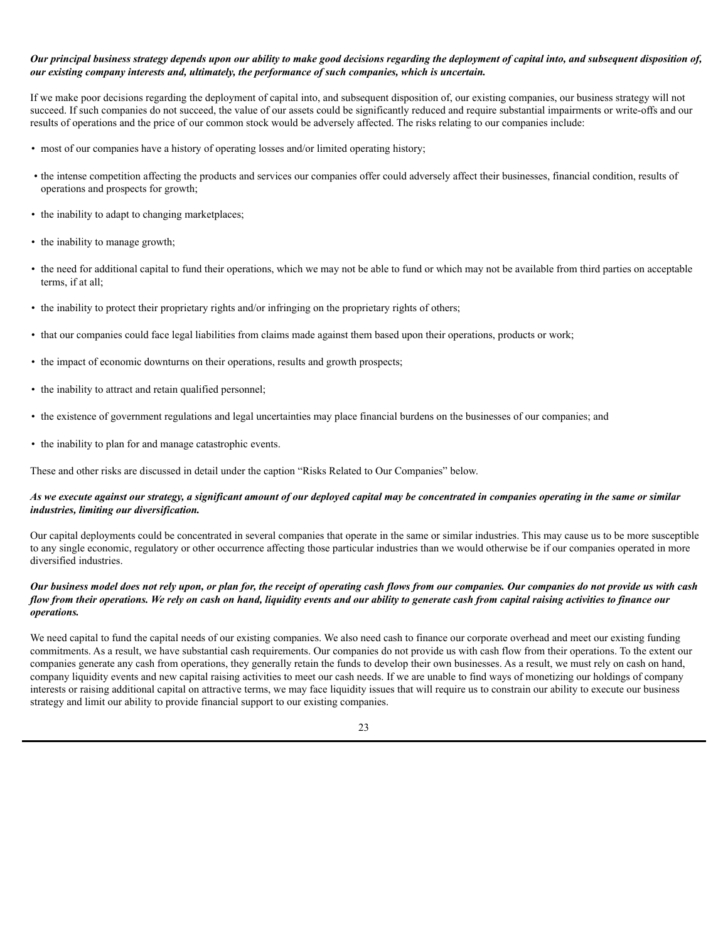### Our principal business strategy depends upon our ability to make good decisions regarding the deployment of capital into, and subsequent disposition of, *our existing company interests and, ultimately, the performance of such companies, which is uncertain.*

If we make poor decisions regarding the deployment of capital into, and subsequent disposition of, our existing companies, our business strategy will not succeed. If such companies do not succeed, the value of our assets could be significantly reduced and require substantial impairments or write-offs and our results of operations and the price of our common stock would be adversely affected. The risks relating to our companies include:

- most of our companies have a history of operating losses and/or limited operating history;
- the intense competition affecting the products and services our companies offer could adversely affect their businesses, financial condition, results of operations and prospects for growth;
- the inability to adapt to changing marketplaces;
- the inability to manage growth;
- the need for additional capital to fund their operations, which we may not be able to fund or which may not be available from third parties on acceptable terms, if at all;
- the inability to protect their proprietary rights and/or infringing on the proprietary rights of others;
- that our companies could face legal liabilities from claims made against them based upon their operations, products or work;
- the impact of economic downturns on their operations, results and growth prospects;
- the inability to attract and retain qualified personnel;
- the existence of government regulations and legal uncertainties may place financial burdens on the businesses of our companies; and
- the inability to plan for and manage catastrophic events.

These and other risks are discussed in detail under the caption "Risks Related to Our Companies" below.

#### As we execute against our strategy, a significant amount of our deployed capital may be concentrated in companies operating in the same or similar *industries, limiting our diversification.*

Our capital deployments could be concentrated in several companies that operate in the same or similar industries. This may cause us to be more susceptible to any single economic, regulatory or other occurrence affecting those particular industries than we would otherwise be if our companies operated in more diversified industries.

### Our business model does not rely upon, or plan for, the receipt of operating cash flows from our companies. Our companies do not provide us with cash flow from their operations. We rely on cash on hand, liquidity events and our ability to generate cash from capital raising activities to finance our *operations.*

We need capital to fund the capital needs of our existing companies. We also need cash to finance our corporate overhead and meet our existing funding commitments. As a result, we have substantial cash requirements. Our companies do not provide us with cash flow from their operations. To the extent our companies generate any cash from operations, they generally retain the funds to develop their own businesses. As a result, we must rely on cash on hand, company liquidity events and new capital raising activities to meet our cash needs. If we are unable to find ways of monetizing our holdings of company interests or raising additional capital on attractive terms, we may face liquidity issues that will require us to constrain our ability to execute our business strategy and limit our ability to provide financial support to our existing companies.

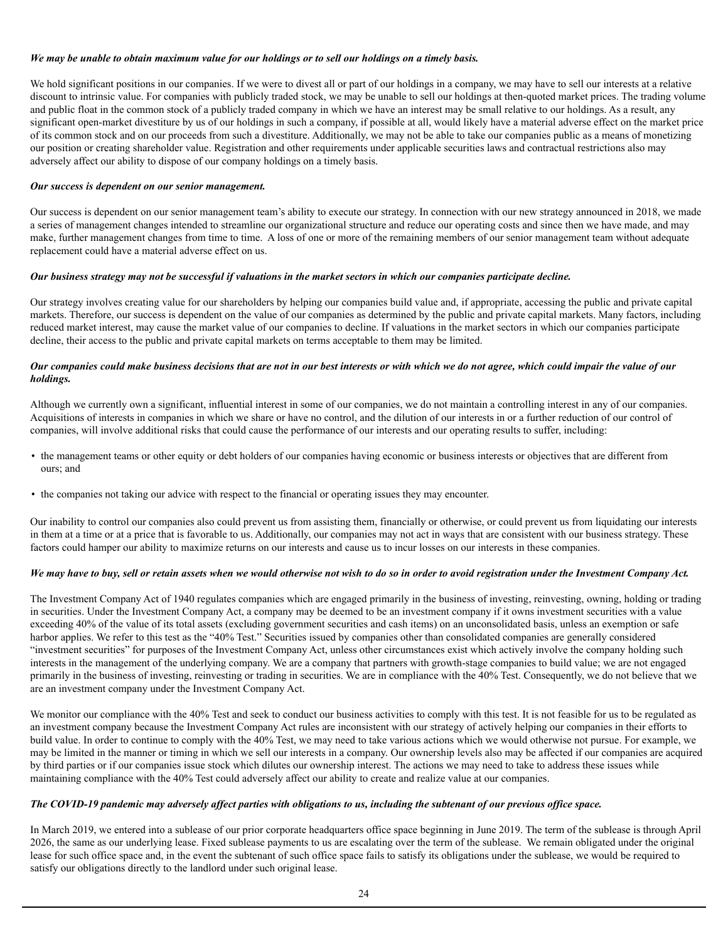#### We may be unable to obtain maximum value for our holdings or to sell our holdings on a timely basis.

We hold significant positions in our companies. If we were to divest all or part of our holdings in a company, we may have to sell our interests at a relative discount to intrinsic value. For companies with publicly traded stock, we may be unable to sell our holdings at then-quoted market prices. The trading volume and public float in the common stock of a publicly traded company in which we have an interest may be small relative to our holdings. As a result, any significant open-market divestiture by us of our holdings in such a company, if possible at all, would likely have a material adverse effect on the market price of its common stock and on our proceeds from such a divestiture. Additionally, we may not be able to take our companies public as a means of monetizing our position or creating shareholder value. Registration and other requirements under applicable securities laws and contractual restrictions also may adversely affect our ability to dispose of our company holdings on a timely basis.

### *Our success is dependent on our senior management.*

Our success is dependent on our senior management team's ability to execute our strategy. In connection with our new strategy announced in 2018, we made a series of management changes intended to streamline our organizational structure and reduce our operating costs and since then we have made, and may make, further management changes from time to time. A loss of one or more of the remaining members of our senior management team without adequate replacement could have a material adverse effect on us.

#### Our business strategy may not be successful if valuations in the market sectors in which our companies participate decline.

Our strategy involves creating value for our shareholders by helping our companies build value and, if appropriate, accessing the public and private capital markets. Therefore, our success is dependent on the value of our companies as determined by the public and private capital markets. Many factors, including reduced market interest, may cause the market value of our companies to decline. If valuations in the market sectors in which our companies participate decline, their access to the public and private capital markets on terms acceptable to them may be limited.

#### Our companies could make business decisions that are not in our best interests or with which we do not agree, which could impair the value of our *holdings.*

Although we currently own a significant, influential interest in some of our companies, we do not maintain a controlling interest in any of our companies. Acquisitions of interests in companies in which we share or have no control, and the dilution of our interests in or a further reduction of our control of companies, will involve additional risks that could cause the performance of our interests and our operating results to suffer, including:

- the management teams or other equity or debt holders of our companies having economic or business interests or objectives that are different from ours; and
- the companies not taking our advice with respect to the financial or operating issues they may encounter.

Our inability to control our companies also could prevent us from assisting them, financially or otherwise, or could prevent us from liquidating our interests in them at a time or at a price that is favorable to us. Additionally, our companies may not act in ways that are consistent with our business strategy. These factors could hamper our ability to maximize returns on our interests and cause us to incur losses on our interests in these companies.

#### We may have to buy, sell or retain assets when we would otherwise not wish to do so in order to avoid registration under the Investment Company Act.

The Investment Company Act of 1940 regulates companies which are engaged primarily in the business of investing, reinvesting, owning, holding or trading in securities. Under the Investment Company Act, a company may be deemed to be an investment company if it owns investment securities with a value exceeding 40% of the value of its total assets (excluding government securities and cash items) on an unconsolidated basis, unless an exemption or safe harbor applies. We refer to this test as the "40% Test." Securities issued by companies other than consolidated companies are generally considered "investment securities" for purposes of the Investment Company Act, unless other circumstances exist which actively involve the company holding such interests in the management of the underlying company. We are a company that partners with growth-stage companies to build value; we are not engaged primarily in the business of investing, reinvesting or trading in securities. We are in compliance with the 40% Test. Consequently, we do not believe that we are an investment company under the Investment Company Act.

We monitor our compliance with the 40% Test and seek to conduct our business activities to comply with this test. It is not feasible for us to be regulated as an investment company because the Investment Company Act rules are inconsistent with our strategy of actively helping our companies in their efforts to build value. In order to continue to comply with the 40% Test, we may need to take various actions which we would otherwise not pursue. For example, we may be limited in the manner or timing in which we sell our interests in a company. Our ownership levels also may be affected if our companies are acquired by third parties or if our companies issue stock which dilutes our ownership interest. The actions we may need to take to address these issues while maintaining compliance with the 40% Test could adversely affect our ability to create and realize value at our companies.

### The COVID-19 pandemic may adversely affect parties with obligations to us, including the subtenant of our previous office space.

In March 2019, we entered into a sublease of our prior corporate headquarters office space beginning in June 2019. The term of the sublease is through April 2026, the same as our underlying lease. Fixed sublease payments to us are escalating over the term of the sublease. We remain obligated under the original lease for such office space and, in the event the subtenant of such office space fails to satisfy its obligations under the sublease, we would be required to satisfy our obligations directly to the landlord under such original lease.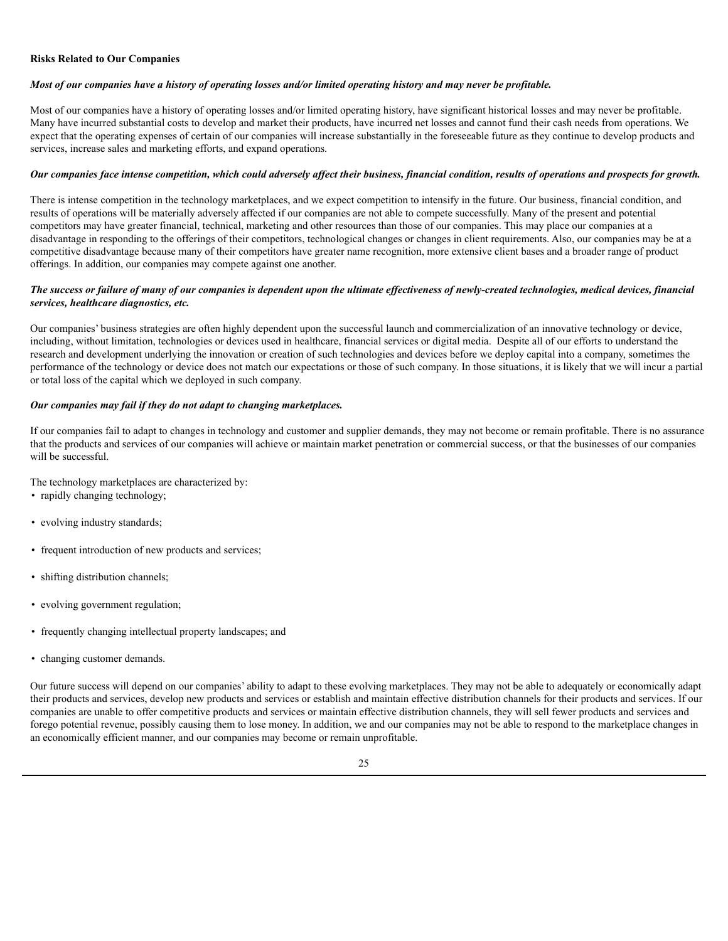#### **Risks Related to Our Companies**

### Most of our companies have a history of operating losses and/or limited operating history and may never be profitable.

Most of our companies have a history of operating losses and/or limited operating history, have significant historical losses and may never be profitable. Many have incurred substantial costs to develop and market their products, have incurred net losses and cannot fund their cash needs from operations. We expect that the operating expenses of certain of our companies will increase substantially in the foreseeable future as they continue to develop products and services, increase sales and marketing efforts, and expand operations.

#### Our companies face intense competition, which could adversely affect their business, financial condition, results of operations and prospects for growth.

There is intense competition in the technology marketplaces, and we expect competition to intensify in the future. Our business, financial condition, and results of operations will be materially adversely affected if our companies are not able to compete successfully. Many of the present and potential competitors may have greater financial, technical, marketing and other resources than those of our companies. This may place our companies at a disadvantage in responding to the offerings of their competitors, technological changes or changes in client requirements. Also, our companies may be at a competitive disadvantage because many of their competitors have greater name recognition, more extensive client bases and a broader range of product offerings. In addition, our companies may compete against one another.

### The success or failure of many of our companies is dependent upon the ultimate effectiveness of newly-created technologies, medical devices, financial *services, healthcare diagnostics, etc.*

Our companies' business strategies are often highly dependent upon the successful launch and commercialization of an innovative technology or device, including, without limitation, technologies or devices used in healthcare, financial services or digital media. Despite all of our efforts to understand the research and development underlying the innovation or creation of such technologies and devices before we deploy capital into a company, sometimes the performance of the technology or device does not match our expectations or those of such company. In those situations, it is likely that we will incur a partial or total loss of the capital which we deployed in such company.

### *Our companies may fail if they do not adapt to changing marketplaces.*

If our companies fail to adapt to changes in technology and customer and supplier demands, they may not become or remain profitable. There is no assurance that the products and services of our companies will achieve or maintain market penetration or commercial success, or that the businesses of our companies will be successful.

The technology marketplaces are characterized by:

- rapidly changing technology;
- evolving industry standards;
- frequent introduction of new products and services;
- shifting distribution channels;
- evolving government regulation;
- frequently changing intellectual property landscapes; and
- changing customer demands.

Our future success will depend on our companies' ability to adapt to these evolving marketplaces. They may not be able to adequately or economically adapt their products and services, develop new products and services or establish and maintain effective distribution channels for their products and services. If our companies are unable to offer competitive products and services or maintain effective distribution channels, they will sell fewer products and services and forego potential revenue, possibly causing them to lose money. In addition, we and our companies may not be able to respond to the marketplace changes in an economically efficient manner, and our companies may become or remain unprofitable.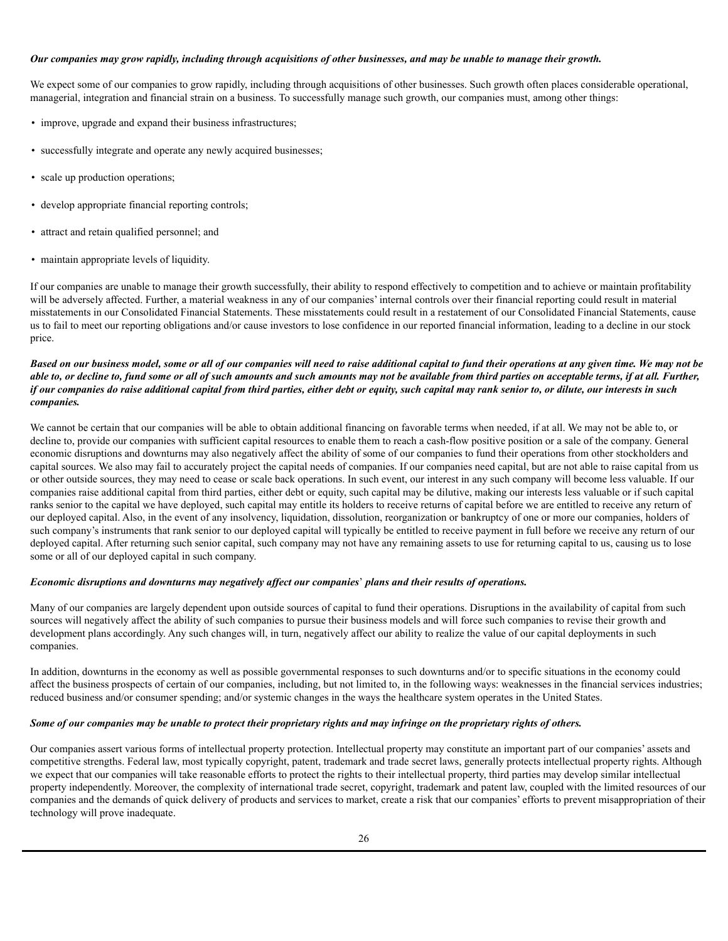#### Our companies may grow rapidly, including through acquisitions of other businesses, and may be unable to manage their growth.

We expect some of our companies to grow rapidly, including through acquisitions of other businesses. Such growth often places considerable operational, managerial, integration and financial strain on a business. To successfully manage such growth, our companies must, among other things:

- improve, upgrade and expand their business infrastructures;
- successfully integrate and operate any newly acquired businesses;
- scale up production operations;
- develop appropriate financial reporting controls;
- attract and retain qualified personnel; and
- maintain appropriate levels of liquidity.

If our companies are unable to manage their growth successfully, their ability to respond effectively to competition and to achieve or maintain profitability will be adversely affected. Further, a material weakness in any of our companies' internal controls over their financial reporting could result in material misstatements in our Consolidated Financial Statements. These misstatements could result in a restatement of our Consolidated Financial Statements, cause us to fail to meet our reporting obligations and/or cause investors to lose confidence in our reported financial information, leading to a decline in our stock price.

### Based on our business model, some or all of our companies will need to raise additional capital to fund their operations at any given time. We may not be able to, or decline to, fund some or all of such amounts and such amounts may not be available from third parties on acceptable terms, if at all. Further, if our companies do raise additional capital from third parties, either debt or equity, such capital may rank senior to, or dilute, our interests in such *companies.*

We cannot be certain that our companies will be able to obtain additional financing on favorable terms when needed, if at all. We may not be able to, or decline to, provide our companies with sufficient capital resources to enable them to reach a cash-flow positive position or a sale of the company. General economic disruptions and downturns may also negatively affect the ability of some of our companies to fund their operations from other stockholders and capital sources. We also may fail to accurately project the capital needs of companies. If our companies need capital, but are not able to raise capital from us or other outside sources, they may need to cease or scale back operations. In such event, our interest in any such company will become less valuable. If our companies raise additional capital from third parties, either debt or equity, such capital may be dilutive, making our interests less valuable or if such capital ranks senior to the capital we have deployed, such capital may entitle its holders to receive returns of capital before we are entitled to receive any return of our deployed capital. Also, in the event of any insolvency, liquidation, dissolution, reorganization or bankruptcy of one or more our companies, holders of such company's instruments that rank senior to our deployed capital will typically be entitled to receive payment in full before we receive any return of our deployed capital. After returning such senior capital, such company may not have any remaining assets to use for returning capital to us, causing us to lose some or all of our deployed capital in such company.

### *Economic disruptions and downturns may negatively af ect our companies*' *plans and their results of operations.*

Many of our companies are largely dependent upon outside sources of capital to fund their operations. Disruptions in the availability of capital from such sources will negatively affect the ability of such companies to pursue their business models and will force such companies to revise their growth and development plans accordingly. Any such changes will, in turn, negatively affect our ability to realize the value of our capital deployments in such companies.

In addition, downturns in the economy as well as possible governmental responses to such downturns and/or to specific situations in the economy could affect the business prospects of certain of our companies, including, but not limited to, in the following ways: weaknesses in the financial services industries; reduced business and/or consumer spending; and/or systemic changes in the ways the healthcare system operates in the United States.

# Some of our companies may be unable to protect their proprietary rights and may infringe on the proprietary rights of others.

Our companies assert various forms of intellectual property protection. Intellectual property may constitute an important part of our companies' assets and competitive strengths. Federal law, most typically copyright, patent, trademark and trade secret laws, generally protects intellectual property rights. Although we expect that our companies will take reasonable efforts to protect the rights to their intellectual property, third parties may develop similar intellectual property independently. Moreover, the complexity of international trade secret, copyright, trademark and patent law, coupled with the limited resources of our companies and the demands of quick delivery of products and services to market, create a risk that our companies' efforts to prevent misappropriation of their technology will prove inadequate.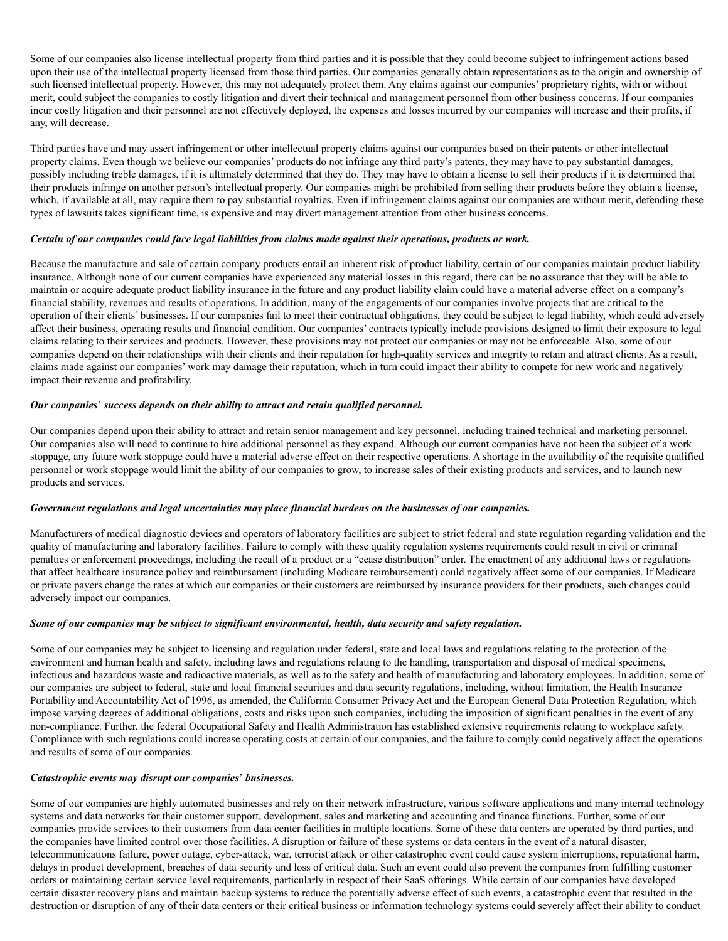Some of our companies also license intellectual property from third parties and it is possible that they could become subject to infringement actions based upon their use of the intellectual property licensed from those third parties. Our companies generally obtain representations as to the origin and ownership of such licensed intellectual property. However, this may not adequately protect them. Any claims against our companies' proprietary rights, with or without merit, could subject the companies to costly litigation and divert their technical and management personnel from other business concerns. If our companies incur costly litigation and their personnel are not effectively deployed, the expenses and losses incurred by our companies will increase and their profits, if any, will decrease.

Third parties have and may assert infringement or other intellectual property claims against our companies based on their patents or other intellectual property claims. Even though we believe our companies' products do not infringe any third party's patents, they may have to pay substantial damages, possibly including treble damages, if it is ultimately determined that they do. They may have to obtain a license to sell their products if it is determined that their products infringe on another person's intellectual property. Our companies might be prohibited from selling their products before they obtain a license, which, if available at all, may require them to pay substantial royalties. Even if infringement claims against our companies are without merit, defending these types of lawsuits takes significant time, is expensive and may divert management attention from other business concerns.

### Certain of our companies could face legal liabilities from claims made against their operations, products or work.

Because the manufacture and sale of certain company products entail an inherent risk of product liability, certain of our companies maintain product liability insurance. Although none of our current companies have experienced any material losses in this regard, there can be no assurance that they will be able to maintain or acquire adequate product liability insurance in the future and any product liability claim could have a material adverse effect on a company's financial stability, revenues and results of operations. In addition, many of the engagements of our companies involve projects that are critical to the operation of their clients' businesses. If our companies fail to meet their contractual obligations, they could be subject to legal liability, which could adversely affect their business, operating results and financial condition. Our companies' contracts typically include provisions designed to limit their exposure to legal claims relating to their services and products. However, these provisions may not protect our companies or may not be enforceable. Also, some of our companies depend on their relationships with their clients and their reputation for high-quality services and integrity to retain and attract clients. As a result, claims made against our companies' work may damage their reputation, which in turn could impact their ability to compete for new work and negatively impact their revenue and profitability.

#### *Our companies*' *success depends on their ability to attract and retain qualified personnel.*

Our companies depend upon their ability to attract and retain senior management and key personnel, including trained technical and marketing personnel. Our companies also will need to continue to hire additional personnel as they expand. Although our current companies have not been the subject of a work stoppage, any future work stoppage could have a material adverse effect on their respective operations. A shortage in the availability of the requisite qualified personnel or work stoppage would limit the ability of our companies to grow, to increase sales of their existing products and services, and to launch new products and services.

### *Government regulations and legal uncertainties may place financial burdens on the businesses of our companies.*

Manufacturers of medical diagnostic devices and operators of laboratory facilities are subject to strict federal and state regulation regarding validation and the quality of manufacturing and laboratory facilities. Failure to comply with these quality regulation systems requirements could result in civil or criminal penalties or enforcement proceedings, including the recall of a product or a "cease distribution" order. The enactment of any additional laws or regulations that affect healthcare insurance policy and reimbursement (including Medicare reimbursement) could negatively affect some of our companies. If Medicare or private payers change the rates at which our companies or their customers are reimbursed by insurance providers for their products, such changes could adversely impact our companies.

### *Some of our companies may be subject to significant environmental, health, data security and safety regulation.*

Some of our companies may be subject to licensing and regulation under federal, state and local laws and regulations relating to the protection of the environment and human health and safety, including laws and regulations relating to the handling, transportation and disposal of medical specimens, infectious and hazardous waste and radioactive materials, as well as to the safety and health of manufacturing and laboratory employees. In addition, some of our companies are subject to federal, state and local financial securities and data security regulations, including, without limitation, the Health Insurance Portability and Accountability Act of 1996, as amended, the California Consumer Privacy Act and the European General Data Protection Regulation, which impose varying degrees of additional obligations, costs and risks upon such companies, including the imposition of significant penalties in the event of any non-compliance. Further, the federal Occupational Safety and Health Administration has established extensive requirements relating to workplace safety. Compliance with such regulations could increase operating costs at certain of our companies, and the failure to comply could negatively affect the operations and results of some of our companies.

#### *Catastrophic events may disrupt our companies*' *businesses.*

Some of our companies are highly automated businesses and rely on their network infrastructure, various software applications and many internal technology systems and data networks for their customer support, development, sales and marketing and accounting and finance functions. Further, some of our companies provide services to their customers from data center facilities in multiple locations. Some of these data centers are operated by third parties, and the companies have limited control over those facilities. A disruption or failure of these systems or data centers in the event of a natural disaster, telecommunications failure, power outage, cyber-attack, war, terrorist attack or other catastrophic event could cause system interruptions, reputational harm, delays in product development, breaches of data security and loss of critical data. Such an event could also prevent the companies from fulfilling customer orders or maintaining certain service level requirements, particularly in respect of their SaaS offerings. While certain of our companies have developed certain disaster recovery plans and maintain backup systems to reduce the potentially adverse effect of such events, a catastrophic event that resulted in the destruction or disruption of any of their data centers or their critical business or information technology systems could severely affect their ability to conduct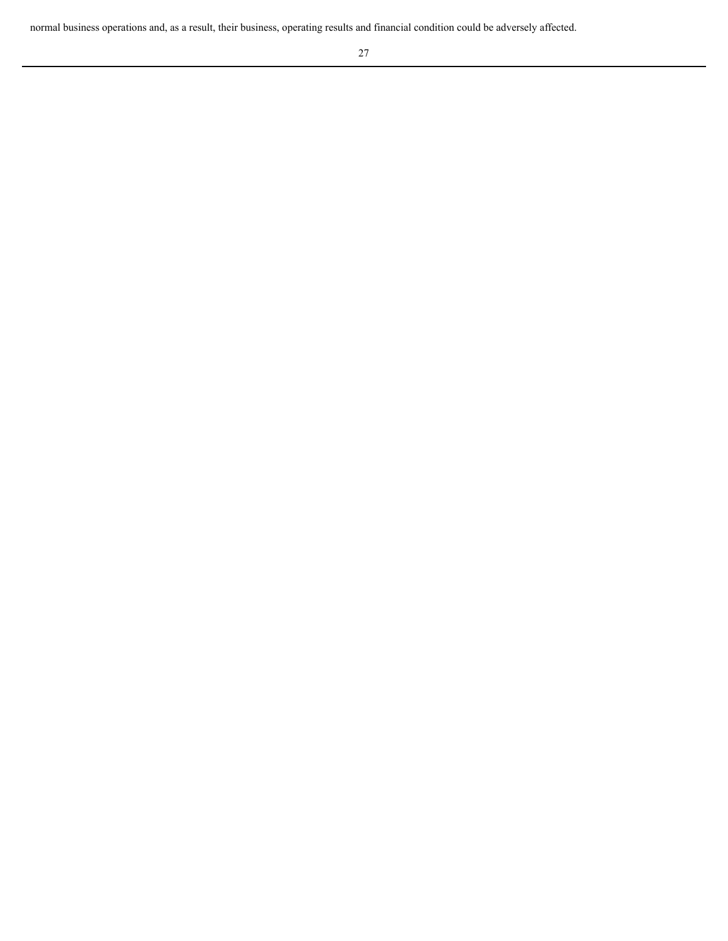normal business operations and, as a result, their business, operating results and financial condition could be adversely affected.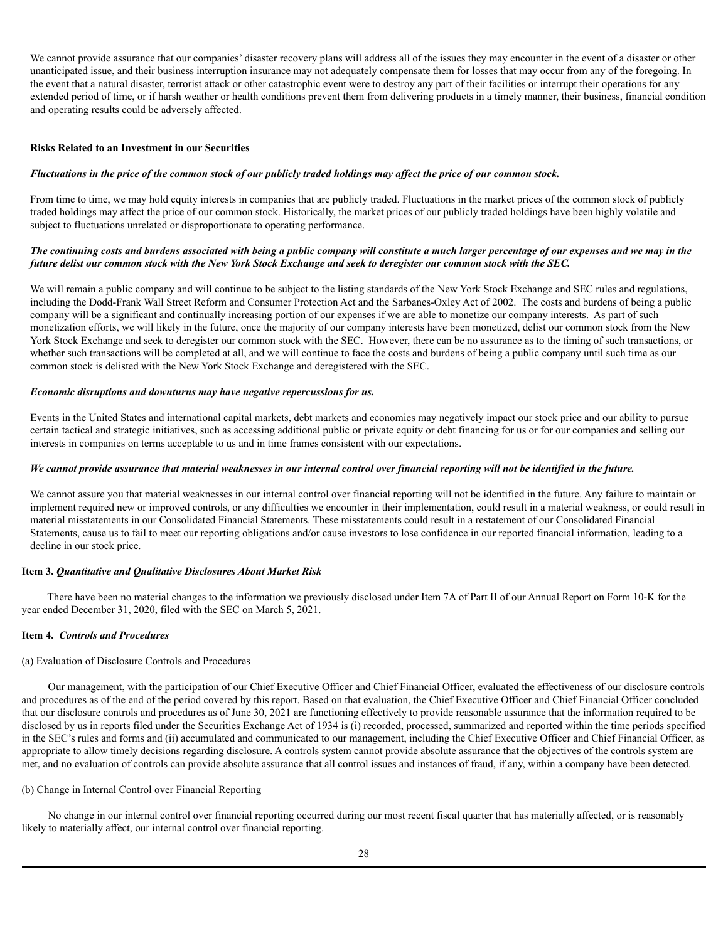We cannot provide assurance that our companies' disaster recovery plans will address all of the issues they may encounter in the event of a disaster or other unanticipated issue, and their business interruption insurance may not adequately compensate them for losses that may occur from any of the foregoing. In the event that a natural disaster, terrorist attack or other catastrophic event were to destroy any part of their facilities or interrupt their operations for any extended period of time, or if harsh weather or health conditions prevent them from delivering products in a timely manner, their business, financial condition and operating results could be adversely affected.

#### **Risks Related to an Investment in our Securities**

#### Fluctuations in the price of the common stock of our publicly traded holdings may affect the price of our common stock.

From time to time, we may hold equity interests in companies that are publicly traded. Fluctuations in the market prices of the common stock of publicly traded holdings may affect the price of our common stock. Historically, the market prices of our publicly traded holdings have been highly volatile and subject to fluctuations unrelated or disproportionate to operating performance.

### The continuing costs and burdens associated with being a public company will constitute a much larger percentage of our expenses and we may in the future delist our common stock with the New York Stock Exchange and seek to deregister our common stock with the SEC.

We will remain a public company and will continue to be subject to the listing standards of the New York Stock Exchange and SEC rules and regulations, including the Dodd-Frank Wall Street Reform and Consumer Protection Act and the Sarbanes-Oxley Act of 2002. The costs and burdens of being a public company will be a significant and continually increasing portion of our expenses if we are able to monetize our company interests. As part of such monetization efforts, we will likely in the future, once the majority of our company interests have been monetized, delist our common stock from the New York Stock Exchange and seek to deregister our common stock with the SEC. However, there can be no assurance as to the timing of such transactions, or whether such transactions will be completed at all, and we will continue to face the costs and burdens of being a public company until such time as our common stock is delisted with the New York Stock Exchange and deregistered with the SEC.

#### *Economic disruptions and downturns may have negative repercussions for us.*

Events in the United States and international capital markets, debt markets and economies may negatively impact our stock price and our ability to pursue certain tactical and strategic initiatives, such as accessing additional public or private equity or debt financing for us or for our companies and selling our interests in companies on terms acceptable to us and in time frames consistent with our expectations.

#### We cannot provide assurance that material weaknesses in our internal control over financial reporting will not be identified in the future.

We cannot assure you that material weaknesses in our internal control over financial reporting will not be identified in the future. Any failure to maintain or implement required new or improved controls, or any difficulties we encounter in their implementation, could result in a material weakness, or could result in material misstatements in our Consolidated Financial Statements. These misstatements could result in a restatement of our Consolidated Financial Statements, cause us to fail to meet our reporting obligations and/or cause investors to lose confidence in our reported financial information, leading to a decline in our stock price.

#### <span id="page-31-0"></span>**Item 3.** *Quantitative and Qualitative Disclosures About Market Risk*

There have been no material changes to the information we previously disclosed under Item 7A of Part II of our Annual Report on Form 10-K for the year ended December 31, 2020, filed with the SEC on March 5, 2021.

### <span id="page-31-1"></span>**Item 4.** *Controls and Procedures*

#### (a) Evaluation of Disclosure Controls and Procedures

Our management, with the participation of our Chief Executive Officer and Chief Financial Officer, evaluated the effectiveness of our disclosure controls and procedures as of the end of the period covered by this report. Based on that evaluation, the Chief Executive Officer and Chief Financial Officer concluded that our disclosure controls and procedures as of June 30, 2021 are functioning effectively to provide reasonable assurance that the information required to be disclosed by us in reports filed under the Securities Exchange Act of 1934 is (i) recorded, processed, summarized and reported within the time periods specified in the SEC's rules and forms and (ii) accumulated and communicated to our management, including the Chief Executive Officer and Chief Financial Officer, as appropriate to allow timely decisions regarding disclosure. A controls system cannot provide absolute assurance that the objectives of the controls system are met, and no evaluation of controls can provide absolute assurance that all control issues and instances of fraud, if any, within a company have been detected.

### (b) Change in Internal Control over Financial Reporting

No change in our internal control over financial reporting occurred during our most recent fiscal quarter that has materially affected, or is reasonably likely to materially affect, our internal control over financial reporting.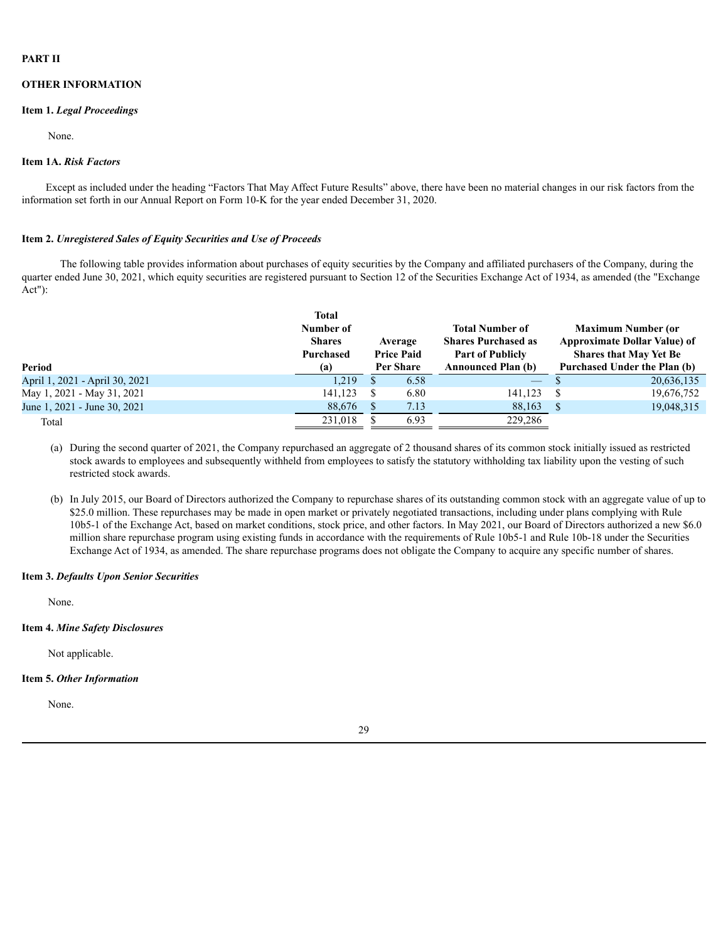# **PART II**

#### **OTHER INFORMATION**

#### <span id="page-32-0"></span>**Item 1.** *Legal Proceedings*

None.

#### <span id="page-32-1"></span>**Item 1A.** *Risk Factors*

Except as included under the heading "Factors That May Affect Future Results" above, there have been no material changes in our risk factors from the information set forth in our Annual Report on Form 10-K for the year ended December 31, 2020.

### <span id="page-32-2"></span>**Item 2.** *Unregistered Sales of Equity Securities and Use of Proceeds*

The following table provides information about purchases of equity securities by the Company and affiliated purchasers of the Company, during the quarter ended June 30, 2021, which equity securities are registered pursuant to Section 12 of the Securities Exchange Act of 1934, as amended (the "Exchange Act"):

|                                | <b>Total</b><br>Number of<br><b>Shares</b><br><b>Purchased</b> |           | Average<br><b>Price Paid</b> | <b>Total Number of</b><br><b>Shares Purchased as</b><br><b>Part of Publicly</b> |                              | <b>Maximum Number (or</b><br><b>Approximate Dollar Value) of</b><br><b>Shares that May Yet Be</b> |
|--------------------------------|----------------------------------------------------------------|-----------|------------------------------|---------------------------------------------------------------------------------|------------------------------|---------------------------------------------------------------------------------------------------|
| Period                         | (a)                                                            | Per Share |                              | <b>Announced Plan (b)</b>                                                       | Purchased Under the Plan (b) |                                                                                                   |
| April 1, 2021 - April 30, 2021 | 1.219                                                          | -S        | 6.58                         | $\overbrace{\phantom{13333}}$                                                   |                              | 20,636,135                                                                                        |
| May 1, 2021 - May 31, 2021     | 141,123                                                        |           | 6.80                         | 141,123                                                                         |                              | 19,676,752                                                                                        |
| June 1, 2021 - June 30, 2021   | 88,676                                                         |           | 7.13                         | 88,163                                                                          |                              | 19,048,315                                                                                        |
| Total                          | 231,018                                                        |           | 6.93                         | 229,286                                                                         |                              |                                                                                                   |

(a) During the second quarter of 2021, the Company repurchased an aggregate of 2 thousand shares of its common stock initially issued as restricted stock awards to employees and subsequently withheld from employees to satisfy the statutory withholding tax liability upon the vesting of such restricted stock awards.

(b) In July 2015, our Board of Directors authorized the Company to repurchase shares of its outstanding common stock with an aggregate value of up to \$25.0 million. These repurchases may be made in open market or privately negotiated transactions, including under plans complying with Rule 10b5-1 of the Exchange Act, based on market conditions, stock price, and other factors. In May 2021, our Board of Directors authorized a new \$6.0 million share repurchase program using existing funds in accordance with the requirements of Rule 10b5-1 and Rule 10b-18 under the Securities Exchange Act of 1934, as amended. The share repurchase programs does not obligate the Company to acquire any specific number of shares.

#### <span id="page-32-3"></span>**Item 3.** *Defaults Upon Senior Securities*

None.

#### <span id="page-32-4"></span>**Item 4.** *Mine Safety Disclosures*

Not applicable.

#### <span id="page-32-5"></span>**Item 5.** *Other Information*

None.

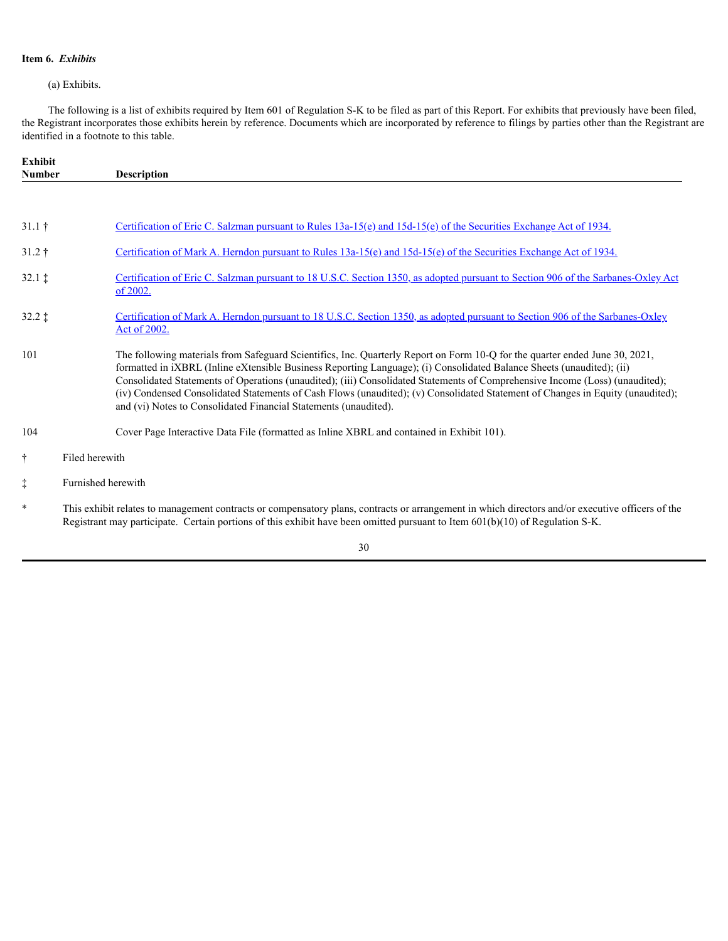# <span id="page-33-0"></span>**Item 6.** *Exhibits*

# (a) Exhibits.

The following is a list of exhibits required by Item 601 of Regulation S-K to be filed as part of this Report. For exhibits that previously have been filed, the Registrant incorporates those exhibits herein by reference. Documents which are incorporated by reference to filings by parties other than the Registrant are identified in a footnote to this table.

| <b>Exhibit</b><br><b>Number</b> |                                                                                                                                                                                                                                                                                   | <b>Description</b>                                                                                                                                                                                                                                                                                                                                                                                                                                                                                                                                                                         |  |  |
|---------------------------------|-----------------------------------------------------------------------------------------------------------------------------------------------------------------------------------------------------------------------------------------------------------------------------------|--------------------------------------------------------------------------------------------------------------------------------------------------------------------------------------------------------------------------------------------------------------------------------------------------------------------------------------------------------------------------------------------------------------------------------------------------------------------------------------------------------------------------------------------------------------------------------------------|--|--|
|                                 |                                                                                                                                                                                                                                                                                   |                                                                                                                                                                                                                                                                                                                                                                                                                                                                                                                                                                                            |  |  |
| $31.1 \;{\rm t}$                |                                                                                                                                                                                                                                                                                   | Certification of Eric C. Salzman pursuant to Rules $13a-15(e)$ and $15d-15(e)$ of the Securities Exchange Act of 1934.                                                                                                                                                                                                                                                                                                                                                                                                                                                                     |  |  |
| $31.2 \text{ }^{\circ}$         |                                                                                                                                                                                                                                                                                   | Certification of Mark A. Herndon pursuant to Rules $13a-15(e)$ and $15d-15(e)$ of the Securities Exchange Act of 1934.                                                                                                                                                                                                                                                                                                                                                                                                                                                                     |  |  |
| $32.1 \pm$                      |                                                                                                                                                                                                                                                                                   | Certification of Eric C. Salzman pursuant to 18 U.S.C. Section 1350, as adopted pursuant to Section 906 of the Sarbanes-Oxley Act<br>of 2002.                                                                                                                                                                                                                                                                                                                                                                                                                                              |  |  |
| $32.2 \;$ $\ddagger$            |                                                                                                                                                                                                                                                                                   | Certification of Mark A. Herndon pursuant to 18 U.S.C. Section 1350, as adopted pursuant to Section 906 of the Sarbanes-Oxley<br>Act of 2002.                                                                                                                                                                                                                                                                                                                                                                                                                                              |  |  |
| 101                             |                                                                                                                                                                                                                                                                                   | The following materials from Safeguard Scientifics, Inc. Quarterly Report on Form 10-Q for the quarter ended June 30, 2021,<br>formatted in iXBRL (Inline eXtensible Business Reporting Language); (i) Consolidated Balance Sheets (unaudited); (ii)<br>Consolidated Statements of Operations (unaudited); (iii) Consolidated Statements of Comprehensive Income (Loss) (unaudited);<br>(iv) Condensed Consolidated Statements of Cash Flows (unaudited); (v) Consolidated Statement of Changes in Equity (unaudited);<br>and (vi) Notes to Consolidated Financial Statements (unaudited). |  |  |
| 104                             |                                                                                                                                                                                                                                                                                   | Cover Page Interactive Data File (formatted as Inline XBRL and contained in Exhibit 101).                                                                                                                                                                                                                                                                                                                                                                                                                                                                                                  |  |  |
| $\dagger$                       | Filed herewith                                                                                                                                                                                                                                                                    |                                                                                                                                                                                                                                                                                                                                                                                                                                                                                                                                                                                            |  |  |
| $\ddagger$                      | Furnished herewith                                                                                                                                                                                                                                                                |                                                                                                                                                                                                                                                                                                                                                                                                                                                                                                                                                                                            |  |  |
| $\ast$                          | This exhibit relates to management contracts or compensatory plans, contracts or arrangement in which directors and/or executive officers of the<br>Registrant may participate. Certain portions of this exhibit have been omitted pursuant to Item 601(b)(10) of Regulation S-K. |                                                                                                                                                                                                                                                                                                                                                                                                                                                                                                                                                                                            |  |  |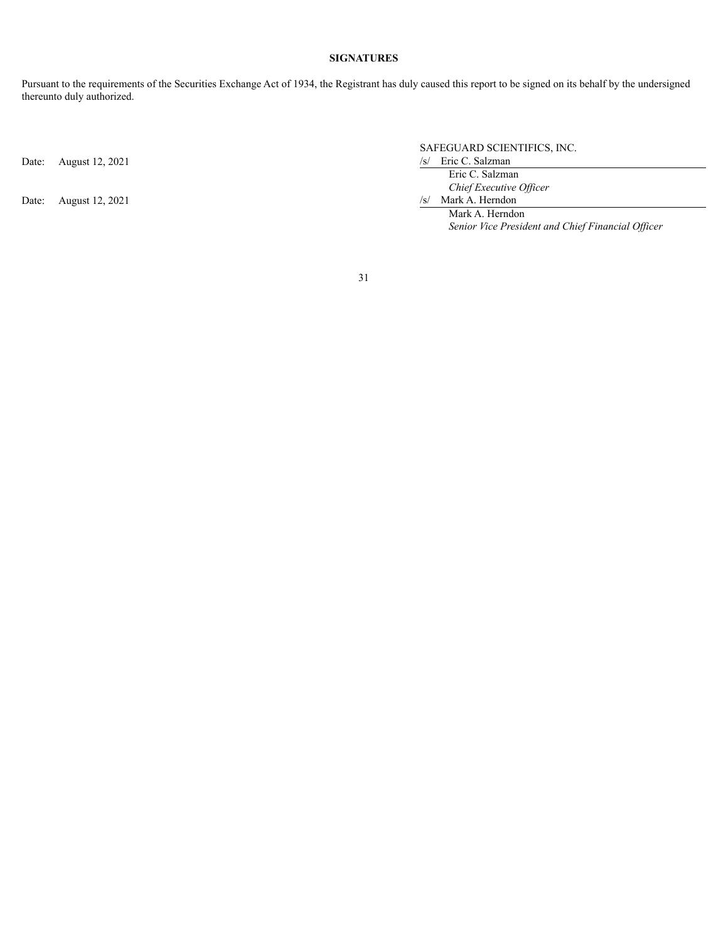### <span id="page-34-0"></span>**SIGNATURES**

Pursuant to the requirements of the Securities Exchange Act of 1934, the Registrant has duly caused this report to be signed on its behalf by the undersigned thereunto duly authorized.

Date: August 12, 2021 /s/ Eric C. Salzman

Date: August 12, 2021 /s/ Mark A. Herndon

SAFEGUARD SCIENTIFICS, INC.

Eric C. Salzman *Chief Executive Of icer*

Mark A. Herndon *Senior Vice President and Chief Financial Of icer*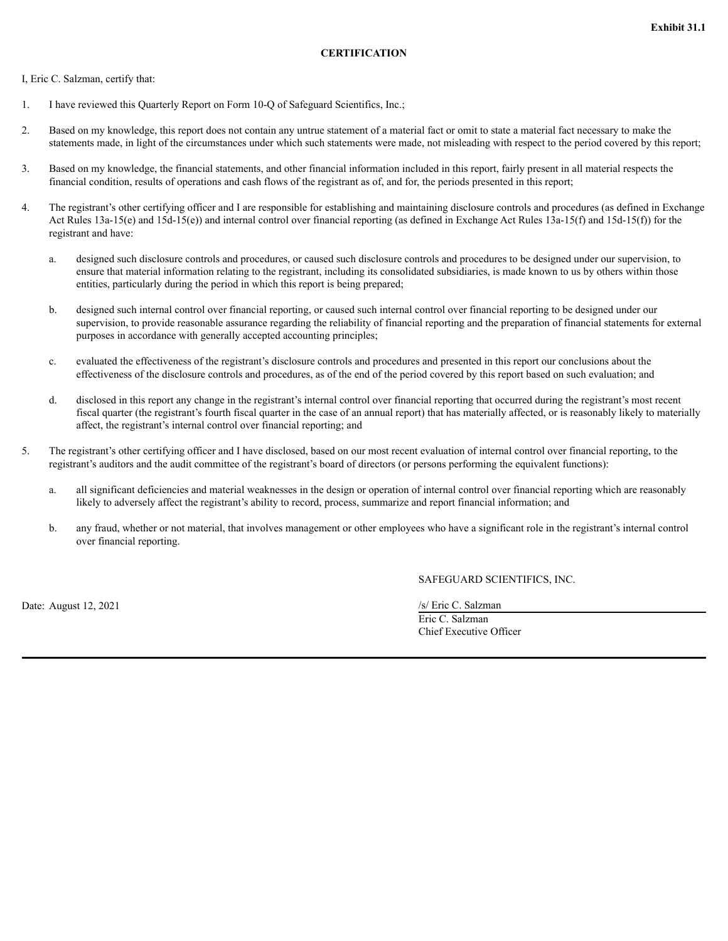### **CERTIFICATION**

<span id="page-35-0"></span>I, Eric C. Salzman, certify that:

- 1. I have reviewed this Quarterly Report on Form 10-Q of Safeguard Scientifics, Inc.;
- 2. Based on my knowledge, this report does not contain any untrue statement of a material fact or omit to state a material fact necessary to make the statements made, in light of the circumstances under which such statements were made, not misleading with respect to the period covered by this report;
- 3. Based on my knowledge, the financial statements, and other financial information included in this report, fairly present in all material respects the financial condition, results of operations and cash flows of the registrant as of, and for, the periods presented in this report;
- 4. The registrant's other certifying officer and I are responsible for establishing and maintaining disclosure controls and procedures (as defined in Exchange Act Rules  $13a-15(e)$  and  $15d-15(e)$  and internal control over financial reporting (as defined in Exchange Act Rules  $13a-15(f)$  and  $15d-15(f)$ ) for the registrant and have:
	- a. designed such disclosure controls and procedures, or caused such disclosure controls and procedures to be designed under our supervision, to ensure that material information relating to the registrant, including its consolidated subsidiaries, is made known to us by others within those entities, particularly during the period in which this report is being prepared;
	- b. designed such internal control over financial reporting, or caused such internal control over financial reporting to be designed under our supervision, to provide reasonable assurance regarding the reliability of financial reporting and the preparation of financial statements for external purposes in accordance with generally accepted accounting principles;
	- c. evaluated the effectiveness of the registrant's disclosure controls and procedures and presented in this report our conclusions about the effectiveness of the disclosure controls and procedures, as of the end of the period covered by this report based on such evaluation; and
	- d. disclosed in this report any change in the registrant's internal control over financial reporting that occurred during the registrant's most recent fiscal quarter (the registrant's fourth fiscal quarter in the case of an annual report) that has materially affected, or is reasonably likely to materially affect, the registrant's internal control over financial reporting; and
- 5. The registrant's other certifying officer and I have disclosed, based on our most recent evaluation of internal control over financial reporting, to the registrant's auditors and the audit committee of the registrant's board of directors (or persons performing the equivalent functions):
	- a. all significant deficiencies and material weaknesses in the design or operation of internal control over financial reporting which are reasonably likely to adversely affect the registrant's ability to record, process, summarize and report financial information; and
	- b. any fraud, whether or not material, that involves management or other employees who have a significant role in the registrant's internal control over financial reporting.

SAFEGUARD SCIENTIFICS, INC.

Date: August 12, 2021 /s/ Eric C. Salzman

Eric C. Salzman Chief Executive Officer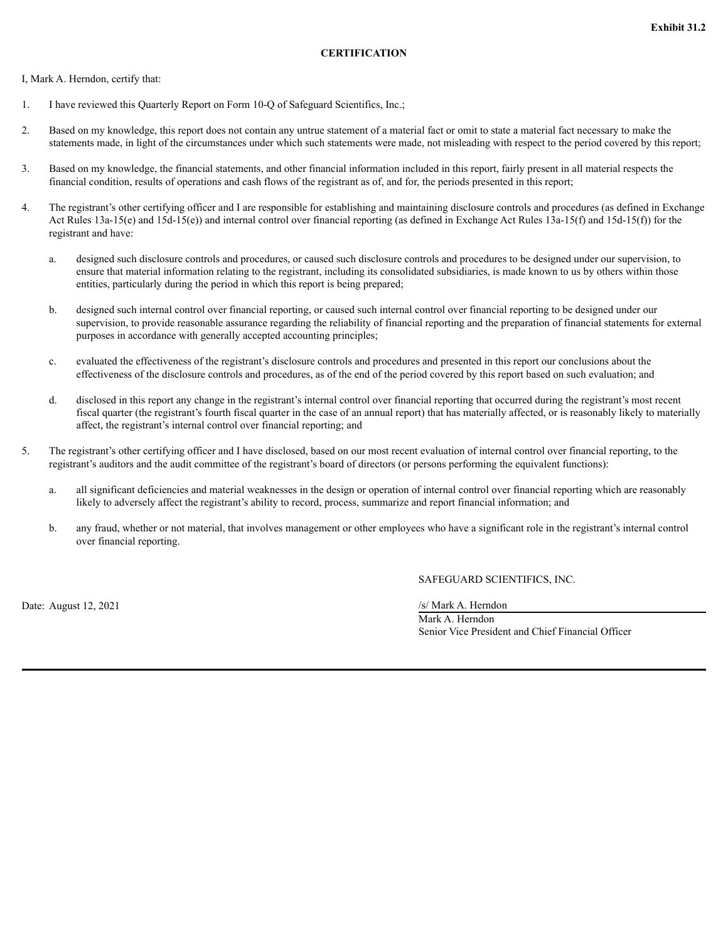### **CERTIFICATION**

<span id="page-36-0"></span>I, Mark A. Herndon, certify that:

- 1. I have reviewed this Quarterly Report on Form 10-Q of Safeguard Scientifics, Inc.;
- 2. Based on my knowledge, this report does not contain any untrue statement of a material fact or omit to state a material fact necessary to make the statements made, in light of the circumstances under which such statements were made, not misleading with respect to the period covered by this report;
- 3. Based on my knowledge, the financial statements, and other financial information included in this report, fairly present in all material respects the financial condition, results of operations and cash flows of the registrant as of, and for, the periods presented in this report;
- 4. The registrant's other certifying officer and I are responsible for establishing and maintaining disclosure controls and procedures (as defined in Exchange Act Rules  $13a-15(e)$  and  $15d-15(e)$  and internal control over financial reporting (as defined in Exchange Act Rules  $13a-15(f)$  and  $15d-15(f)$ ) for the registrant and have:
	- a. designed such disclosure controls and procedures, or caused such disclosure controls and procedures to be designed under our supervision, to ensure that material information relating to the registrant, including its consolidated subsidiaries, is made known to us by others within those entities, particularly during the period in which this report is being prepared;
	- b. designed such internal control over financial reporting, or caused such internal control over financial reporting to be designed under our supervision, to provide reasonable assurance regarding the reliability of financial reporting and the preparation of financial statements for external purposes in accordance with generally accepted accounting principles;
	- c. evaluated the effectiveness of the registrant's disclosure controls and procedures and presented in this report our conclusions about the effectiveness of the disclosure controls and procedures, as of the end of the period covered by this report based on such evaluation; and
	- d. disclosed in this report any change in the registrant's internal control over financial reporting that occurred during the registrant's most recent fiscal quarter (the registrant's fourth fiscal quarter in the case of an annual report) that has materially affected, or is reasonably likely to materially affect, the registrant's internal control over financial reporting; and
- 5. The registrant's other certifying officer and I have disclosed, based on our most recent evaluation of internal control over financial reporting, to the registrant's auditors and the audit committee of the registrant's board of directors (or persons performing the equivalent functions):
	- a. all significant deficiencies and material weaknesses in the design or operation of internal control over financial reporting which are reasonably likely to adversely affect the registrant's ability to record, process, summarize and report financial information; and
	- b. any fraud, whether or not material, that involves management or other employees who have a significant role in the registrant's internal control over financial reporting.

SAFEGUARD SCIENTIFICS, INC.

Date: August 12, 2021 /s/ Mark A. Herndon Mark A. Herndon Senior Vice President and Chief Financial Officer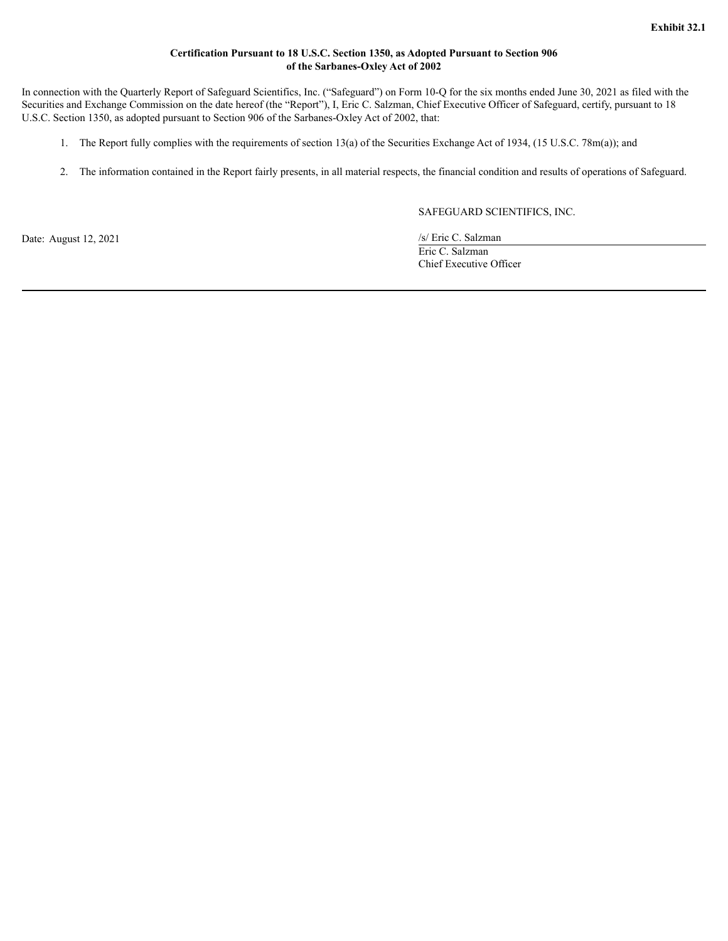#### **Certification Pursuant to 18 U.S.C. Section 1350, as Adopted Pursuant to Section 906 of the Sarbanes-Oxley Act of 2002**

<span id="page-37-0"></span>In connection with the Quarterly Report of Safeguard Scientifics, Inc. ("Safeguard") on Form 10-Q for the six months ended June 30, 2021 as filed with the Securities and Exchange Commission on the date hereof (the "Report"), I, Eric C. Salzman, Chief Executive Officer of Safeguard, certify, pursuant to 18 U.S.C. Section 1350, as adopted pursuant to Section 906 of the Sarbanes-Oxley Act of 2002, that:

- 1. The Report fully complies with the requirements of section 13(a) of the Securities Exchange Act of 1934, (15 U.S.C. 78m(a)); and
- 2. The information contained in the Report fairly presents, in all material respects, the financial condition and results of operations of Safeguard.

SAFEGUARD SCIENTIFICS, INC.

Date: August 12, 2021 /s/ Eric C. Salzman

Eric C. Salzman Chief Executive Officer